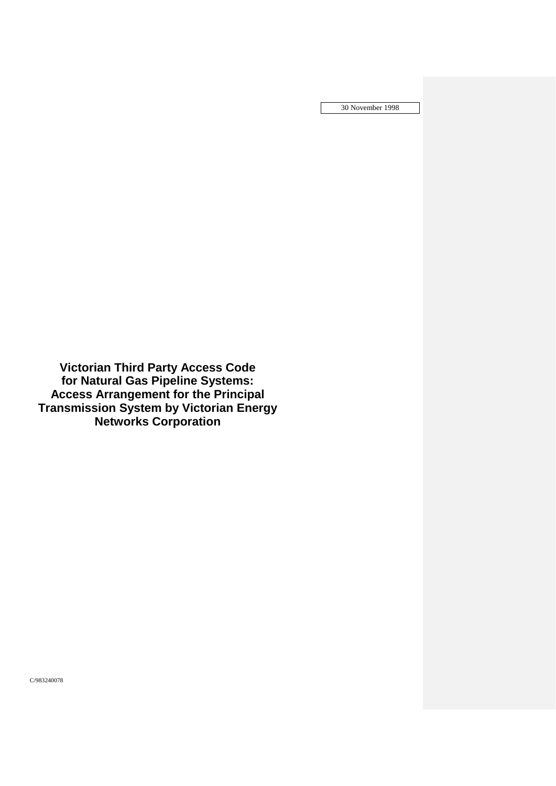30 November 1998

**Victorian Third Party Access Code for Natural Gas Pipeline Systems: Access Arrangement for the Principal Transmission System by Victorian Energy Networks Corporation**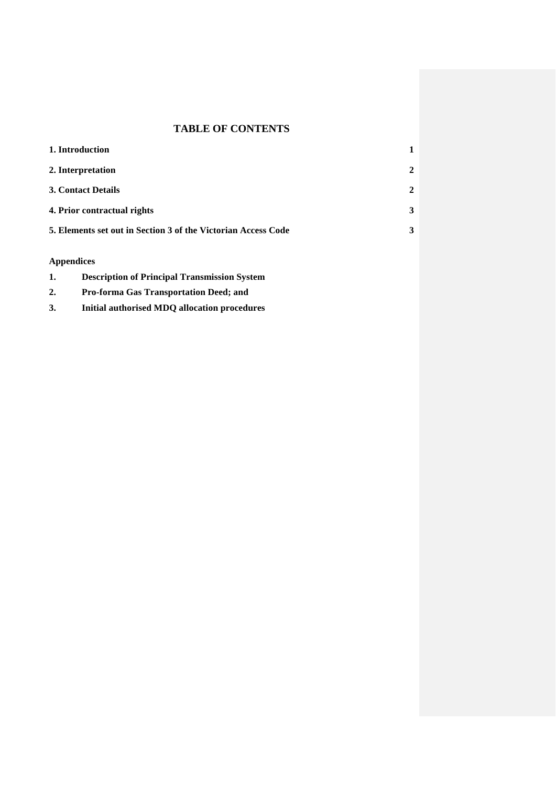# **TABLE OF CONTENTS**

| 1. Introduction                                               |                |
|---------------------------------------------------------------|----------------|
| 2. Interpretation                                             | $\overline{2}$ |
| <b>3. Contact Details</b>                                     | 2              |
| 4. Prior contractual rights                                   | 3              |
| 5. Elements set out in Section 3 of the Victorian Access Code | 3              |
|                                                               |                |

# **Appendices**

| 1. |  |  | <b>Description of Principal Transmission System</b> |  |
|----|--|--|-----------------------------------------------------|--|
|----|--|--|-----------------------------------------------------|--|

- **2. Pro-forma Gas Transportation Deed; and**
- **3. Initial authorised MDQ allocation procedures**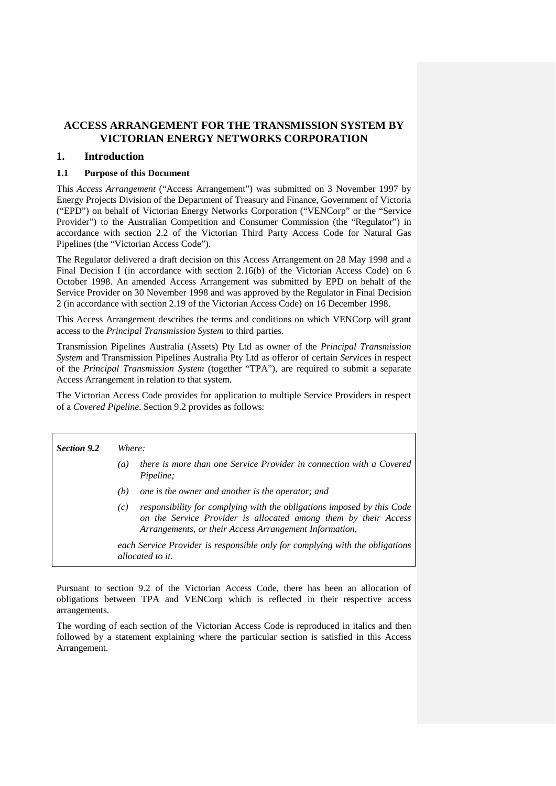# **ACCESS ARRANGEMENT FOR THE TRANSMISSION SYSTEM BY VICTORIAN ENERGY NETWORKS CORPORATION**

# **1. Introduction**

# **1.1 Purpose of this Document**

This *Access Arrangement* ("Access Arrangement") was submitted on 3 November 1997 by Energy Projects Division of the Department of Treasury and Finance, Government of Victoria ("EPD") on behalf of Victorian Energy Networks Corporation ("VENCorp" or the "Service Provider") to the Australian Competition and Consumer Commission (the "Regulator") in accordance with section 2.2 of the Victorian Third Party Access Code for Natural Gas Pipelines (the "Victorian Access Code").

The Regulator delivered a draft decision on this Access Arrangement on 28 May 1998 and a Final Decision I (in accordance with section 2.16(b) of the Victorian Access Code) on 6 October 1998. An amended Access Arrangement was submitted by EPD on behalf of the Service Provider on 30 November 1998 and was approved by the Regulator in Final Decision 2 (in accordance with section 2.19 of the Victorian Access Code) on 16 December 1998.

This Access Arrangement describes the terms and conditions on which VENCorp will grant access to the *Principal Transmission System* to third parties.

Transmission Pipelines Australia (Assets) Pty Ltd as owner of the *Principal Transmission System* and Transmission Pipelines Australia Pty Ltd as offeror of certain *Services* in respect of the *Principal Transmission System* (together "TPA"), are required to submit a separate Access Arrangement in relation to that system.

The Victorian Access Code provides for application to multiple Service Providers in respect of a *Covered Pipeline*. Section 9.2 provides as follows:

| <b>Section 9.2</b> | Where:                                                                                                                                                                                                     |  |  |
|--------------------|------------------------------------------------------------------------------------------------------------------------------------------------------------------------------------------------------------|--|--|
|                    | there is more than one Service Provider in connection with a Covered<br>(a)<br>Pipeline;                                                                                                                   |  |  |
|                    | one is the owner and another is the operator; and<br>(b)                                                                                                                                                   |  |  |
|                    | responsibility for complying with the obligations imposed by this Code<br>(c)<br>on the Service Provider is allocated among them by their Access<br>Arrangements, or their Access Arrangement Information, |  |  |
|                    | each Service Provider is responsible only for complying with the obligations<br>allocated to it.                                                                                                           |  |  |

Pursuant to section 9.2 of the Victorian Access Code, there has been an allocation of obligations between TPA and VENCorp which is reflected in their respective access arrangements.

The wording of each section of the Victorian Access Code is reproduced in italics and then followed by a statement explaining where the particular section is satisfied in this Access Arrangement.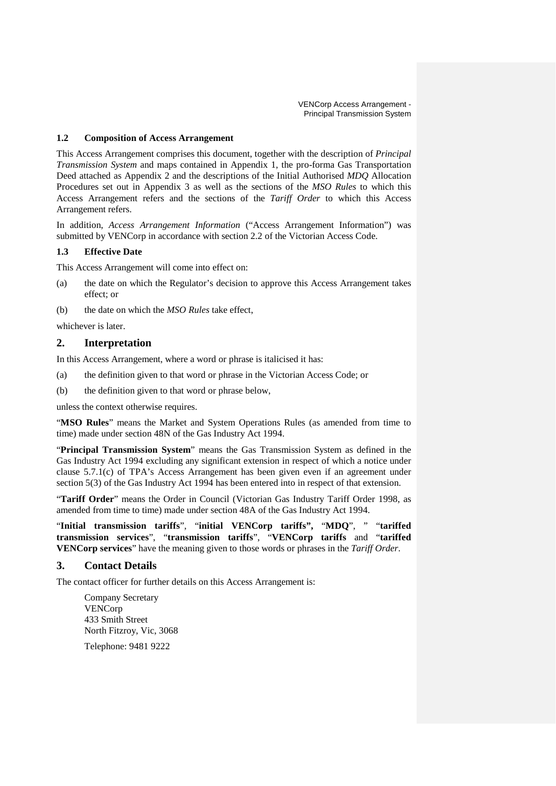# **1.2 Composition of Access Arrangement**

This Access Arrangement comprises this document, together with the description of *Principal Transmission System* and maps contained in Appendix 1, the pro-forma Gas Transportation Deed attached as Appendix 2 and the descriptions of the Initial Authorised *MDQ* Allocation Procedures set out in Appendix 3 as well as the sections of the *MSO Rules* to which this Access Arrangement refers and the sections of the *Tariff Order* to which this Access Arrangement refers.

In addition, *Access Arrangement Information* ("Access Arrangement Information") was submitted by VENCorp in accordance with section 2.2 of the Victorian Access Code.

# **1.3 Effective Date**

This Access Arrangement will come into effect on:

- (a) the date on which the Regulator's decision to approve this Access Arrangement takes effect; or
- (b) the date on which the *MSO Rules* take effect,

whichever is later.

# **2. Interpretation**

In this Access Arrangement, where a word or phrase is italicised it has:

- (a) the definition given to that word or phrase in the Victorian Access Code; or
- (b) the definition given to that word or phrase below,

unless the context otherwise requires.

"**MSO Rules**" means the Market and System Operations Rules (as amended from time to time) made under section 48N of the Gas Industry Act 1994.

"**Principal Transmission System**" means the Gas Transmission System as defined in the Gas Industry Act 1994 excluding any significant extension in respect of which a notice under clause 5.7.1(c) of TPA's Access Arrangement has been given even if an agreement under section 5(3) of the Gas Industry Act 1994 has been entered into in respect of that extension.

"**Tariff Order**" means the Order in Council (Victorian Gas Industry Tariff Order 1998, as amended from time to time) made under section 48A of the Gas Industry Act 1994.

"**Initial transmission tariffs**", "**initial VENCorp tariffs",** "**MDQ**", " "**tariffed transmission services**", "**transmission tariffs**", "**VENCorp tariffs** and "**tariffed VENCorp services**" have the meaning given to those words or phrases in the *Tariff Order*.

# **3. Contact Details**

The contact officer for further details on this Access Arrangement is:

Company Secretary VENCorp 433 Smith Street North Fitzroy, Vic, 3068 Telephone: 9481 9222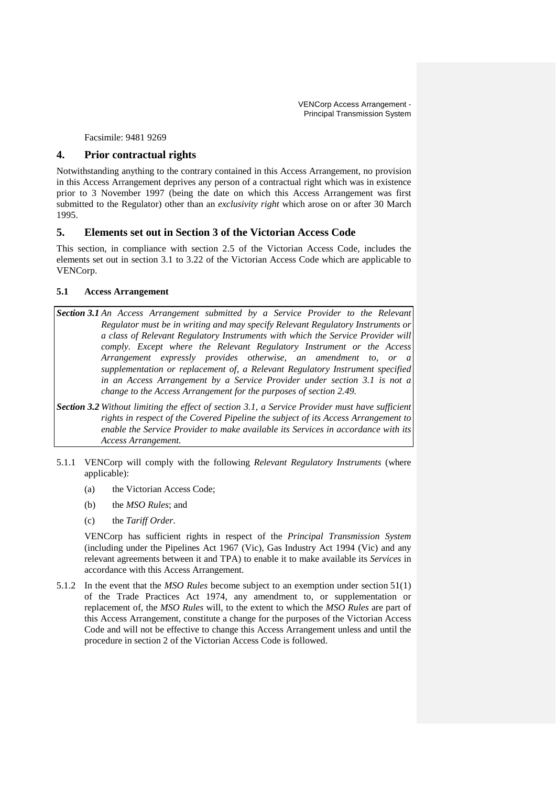Facsimile: 9481 9269

# **4. Prior contractual rights**

Notwithstanding anything to the contrary contained in this Access Arrangement, no provision in this Access Arrangement deprives any person of a contractual right which was in existence prior to 3 November 1997 (being the date on which this Access Arrangement was first submitted to the Regulator) other than an *exclusivity right* which arose on or after 30 March 1995.

# **5. Elements set out in Section 3 of the Victorian Access Code**

This section, in compliance with section 2.5 of the Victorian Access Code, includes the elements set out in section 3.1 to 3.22 of the Victorian Access Code which are applicable to VENCorp.

# **5.1 Access Arrangement**

- *Section 3.1 An Access Arrangement submitted by a Service Provider to the Relevant Regulator must be in writing and may specify Relevant Regulatory Instruments or a class of Relevant Regulatory Instruments with which the Service Provider will comply. Except where the Relevant Regulatory Instrument or the Access Arrangement expressly provides otherwise, an amendment to, or a supplementation or replacement of, a Relevant Regulatory Instrument specified in an Access Arrangement by a Service Provider under section 3.1 is not a change to the Access Arrangement for the purposes of section 2.49.*
- *Section 3.2 Without limiting the effect of section 3.1, a Service Provider must have sufficient rights in respect of the Covered Pipeline the subject of its Access Arrangement to enable the Service Provider to make available its Services in accordance with its Access Arrangement.*
- 5.1.1 VENCorp will comply with the following *Relevant Regulatory Instruments* (where applicable):
	- (a) the Victorian Access Code;
	- (b) the *MSO Rules*; and
	- (c) the *Tariff Order*.

VENCorp has sufficient rights in respect of the *Principal Transmission System* (including under the Pipelines Act 1967 (Vic), Gas Industry Act 1994 (Vic) and any relevant agreements between it and TPA) to enable it to make available its *Services* in accordance with this Access Arrangement.

5.1.2 In the event that the *MSO Rules* become subject to an exemption under section 51(1) of the Trade Practices Act 1974, any amendment to, or supplementation or replacement of, the *MSO Rules* will, to the extent to which the *MSO Rules* are part of this Access Arrangement, constitute a change for the purposes of the Victorian Access Code and will not be effective to change this Access Arrangement unless and until the procedure in section 2 of the Victorian Access Code is followed.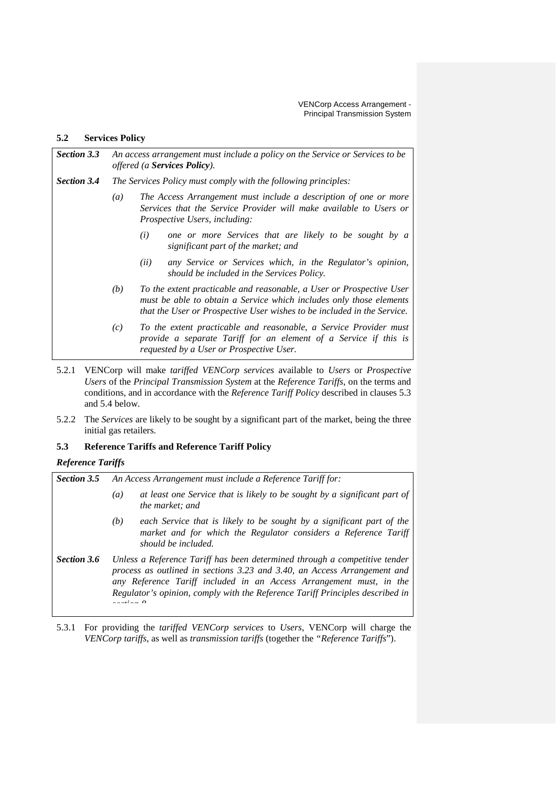$\mathsf{l}$ 

# **5.2 Services Policy**

| <b>Section 3.3</b> | An access arrangement must include a policy on the Service or Services to be<br>offered (a Services Policy). |                                                                                                                                                                                                                        |  |
|--------------------|--------------------------------------------------------------------------------------------------------------|------------------------------------------------------------------------------------------------------------------------------------------------------------------------------------------------------------------------|--|
| <b>Section 3.4</b> |                                                                                                              | The Services Policy must comply with the following principles:                                                                                                                                                         |  |
|                    | $\left( a\right)$                                                                                            | The Access Arrangement must include a description of one or more<br>Services that the Service Provider will make available to Users or<br><i>Prospective Users, including:</i>                                         |  |
|                    |                                                                                                              | one or more Services that are likely to be sought by a<br>(i)<br>significant part of the market; and                                                                                                                   |  |
|                    |                                                                                                              | any Service or Services which, in the Regulator's opinion,<br>(ii)<br>should be included in the Services Policy.                                                                                                       |  |
|                    | (b)                                                                                                          | To the extent practicable and reasonable, a User or Prospective User<br>must be able to obtain a Service which includes only those elements<br>that the User or Prospective User wishes to be included in the Service. |  |
|                    | (c)                                                                                                          | To the extent practicable and reasonable, a Service Provider must<br>provide a separate Tariff for an element of a Service if this is<br>requested by a User or Prospective User.                                      |  |

- 5.2.1 VENCorp will make *tariffed VENCorp services* available to *Users* or *Prospective Users* of the *Principal Transmission System* at the *Reference Tariffs*, on the terms and conditions, and in accordance with the *Reference Tariff Policy* described in clauses 5.3 and 5.4 below.
- 5.2.2 The *Services* are likely to be sought by a significant part of the market, being the three initial gas retailers.

# **5.3 Reference Tariffs and Reference Tariff Policy**

# *Reference Tariffs*

| <b>Section 3.5</b> | An Access Arrangement must include a Reference Tariff for:                                                                                                                                                                                                                                                     |  |  |
|--------------------|----------------------------------------------------------------------------------------------------------------------------------------------------------------------------------------------------------------------------------------------------------------------------------------------------------------|--|--|
|                    | at least one Service that is likely to be sought by a significant part of<br>$\left(a\right)$<br>the market; and                                                                                                                                                                                               |  |  |
|                    | each Service that is likely to be sought by a significant part of the<br>(b)<br>market and for which the Regulator considers a Reference Tariff<br>should be included.                                                                                                                                         |  |  |
| <b>Section 3.6</b> | Unless a Reference Tariff has been determined through a competitive tender<br>process as outlined in sections 3.23 and 3.40, an Access Arrangement and<br>any Reference Tariff included in an Access Arrangement must, in the<br>Regulator's opinion, comply with the Reference Tariff Principles described in |  |  |

5.3.1 For providing the *tariffed VENCorp services* to *Users*, VENCorp will charge the *VENCorp tariffs*, as well as *transmission tariffs* (together the *"Reference Tariffs*").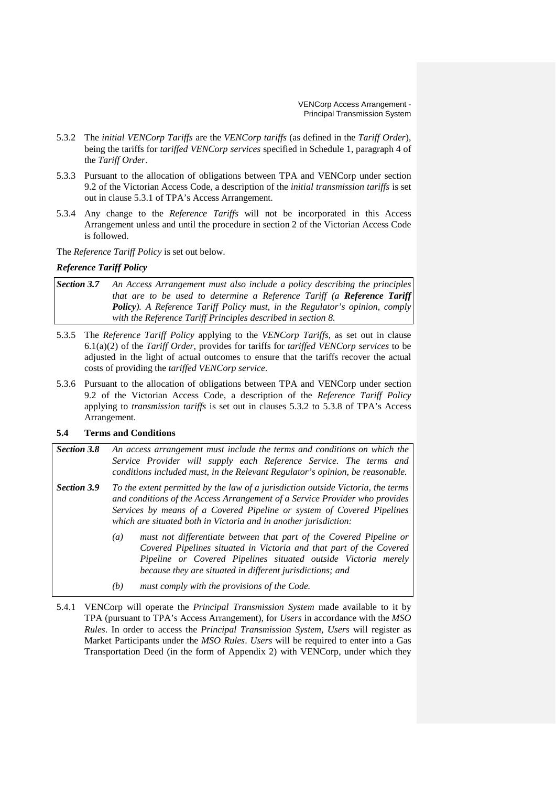- 5.3.2 The *initial VENCorp Tariffs* are the *VENCorp tariffs* (as defined in the *Tariff Order*), being the tariffs for *tariffed VENCorp services* specified in Schedule 1, paragraph 4 of the *Tariff Order*.
- 5.3.3 Pursuant to the allocation of obligations between TPA and VENCorp under section 9.2 of the Victorian Access Code, a description of the *initial transmission tariffs* is set out in clause 5.3.1 of TPA's Access Arrangement.
- 5.3.4 Any change to the *Reference Tariffs* will not be incorporated in this Access Arrangement unless and until the procedure in section 2 of the Victorian Access Code is followed.

The *Reference Tariff Policy* is set out below.

# *Reference Tariff Policy*

- *Section 3.7 An Access Arrangement must also include a policy describing the principles that are to be used to determine a Reference Tariff (a Reference Tariff Policy). A Reference Tariff Policy must, in the Regulator's opinion, comply with the Reference Tariff Principles described in section 8.*
- 5.3.5 The *Reference Tariff Policy* applying to the *VENCorp Tariffs*, as set out in clause 6.1(a)(2) of the *Tariff Order*, provides for tariffs for *tariffed VENCorp services* to be adjusted in the light of actual outcomes to ensure that the tariffs recover the actual costs of providing the *tariffed VENCorp service*.
- 5.3.6 Pursuant to the allocation of obligations between TPA and VENCorp under section 9.2 of the Victorian Access Code, a description of the *Reference Tariff Policy*  applying to *transmission tariffs* is set out in clauses 5.3.2 to 5.3.8 of TPA's Access Arrangement.

# **5.4 Terms and Conditions**

- *Section 3.8 An access arrangement must include the terms and conditions on which the Service Provider will supply each Reference Service. The terms and conditions included must, in the Relevant Regulator's opinion, be reasonable.*
- *Section 3.9 To the extent permitted by the law of a jurisdiction outside Victoria, the terms and conditions of the Access Arrangement of a Service Provider who provides Services by means of a Covered Pipeline or system of Covered Pipelines which are situated both in Victoria and in another jurisdiction:*
	- *(a) must not differentiate between that part of the Covered Pipeline or Covered Pipelines situated in Victoria and that part of the Covered Pipeline or Covered Pipelines situated outside Victoria merely because they are situated in different jurisdictions; and*
	- *(b) must comply with the provisions of the Code.*
- 5.4.1 VENCorp will operate the *Principal Transmission System* made available to it by TPA (pursuant to TPA's Access Arrangement), for *Users* in accordance with the *MSO Rules*. In order to access the *Principal Transmission System*, *Users* will register as Market Participants under the *MSO Rules*. *Users* will be required to enter into a Gas Transportation Deed (in the form of Appendix 2) with VENCorp, under which they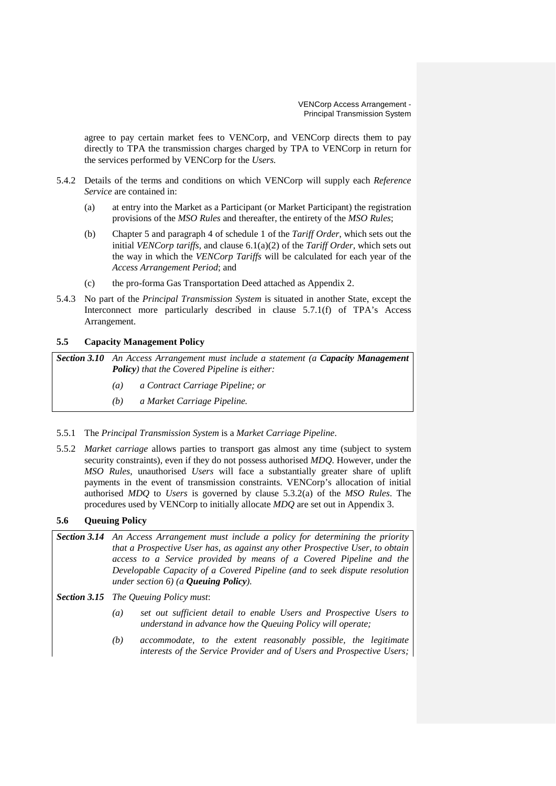agree to pay certain market fees to VENCorp, and VENCorp directs them to pay directly to TPA the transmission charges charged by TPA to VENCorp in return for the services performed by VENCorp for the *Users.*

- 5.4.2 Details of the terms and conditions on which VENCorp will supply each *Reference Service* are contained in:
	- (a) at entry into the Market as a Participant (or Market Participant) the registration provisions of the *MSO Rules* and thereafter, the entirety of the *MSO Rules*;
	- (b) Chapter 5 and paragraph 4 of schedule 1 of the *Tariff Order*, which sets out the initial *VENCorp tariffs*, and clause 6.1(a)(2) of the *Tariff Order*, which sets out the way in which the *VENCorp Tariffs* will be calculated for each year of the *Access Arrangement Period*; and
	- (c) the pro-forma Gas Transportation Deed attached as Appendix 2.
- 5.4.3 No part of the *Principal Transmission System* is situated in another State, except the Interconnect more particularly described in clause 5.7.1(f) of TPA's Access Arrangement.

# **5.5 Capacity Management Policy**

*Section 3.10 An Access Arrangement must include a statement (a Capacity Management Policy) that the Covered Pipeline is either:*

- *(a) a Contract Carriage Pipeline; or*
- *(b) a Market Carriage Pipeline.*
- 5.5.1 The *Principal Transmission System* is a *Market Carriage Pipeline*.
- 5.5.2 *Market carriage* allows parties to transport gas almost any time (subject to system security constraints), even if they do not possess authorised *MDQ*. However, under the *MSO Rules*, unauthorised *Users* will face a substantially greater share of uplift payments in the event of transmission constraints. VENCorp's allocation of initial authorised *MDQ* to *Users* is governed by clause 5.3.2(a) of the *MSO Rules*. The procedures used by VENCorp to initially allocate *MDQ* are set out in Appendix 3.

# **5.6 Queuing Policy**

- *Section 3.14 An Access Arrangement must include a policy for determining the priority that a Prospective User has, as against any other Prospective User, to obtain access to a Service provided by means of a Covered Pipeline and the Developable Capacity of a Covered Pipeline (and to seek dispute resolution under section 6) (a Queuing Policy).*
- *Section 3.15 The Queuing Policy must*:
	- *(a) set out sufficient detail to enable Users and Prospective Users to understand in advance how the Queuing Policy will operate;*
	- *(b) accommodate, to the extent reasonably possible, the legitimate interests of the Service Provider and of Users and Prospective Users;*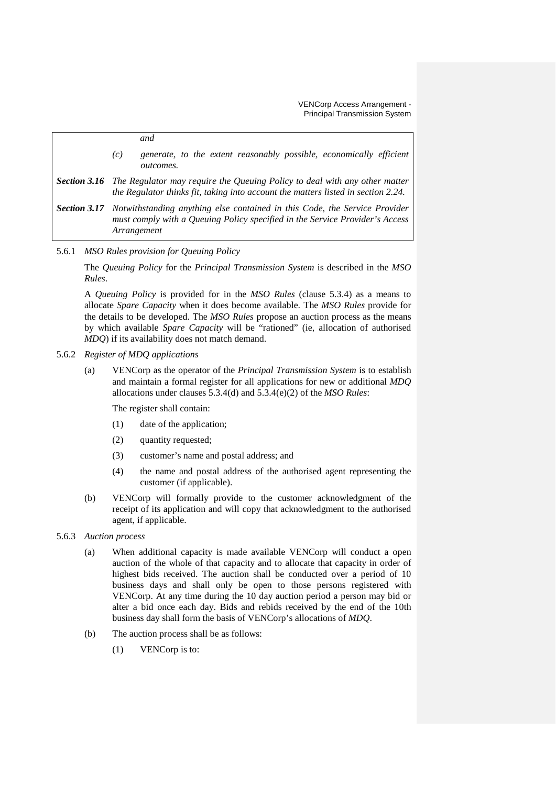*and (c) generate, to the extent reasonably possible, economically efficient outcomes. Section 3.16 The Regulator may require the Queuing Policy to deal with any other matter the Regulator thinks fit, taking into account the matters listed in section 2.24. Section 3.17 Notwithstanding anything else contained in this Code, the Service Provider must comply with a Queuing Policy specified in the Service Provider's Access* 

5.6.1 *MSO Rules provision for Queuing Policy*

*Arrangement*

The *Queuing Policy* for the *Principal Transmission System* is described in the *MSO Rules*.

A *Queuing Policy* is provided for in the *MSO Rules* (clause 5.3.4) as a means to allocate *Spare Capacity* when it does become available. The *MSO Rules* provide for the details to be developed. The *MSO Rules* propose an auction process as the means by which available *Spare Capacity* will be "rationed" (ie, allocation of authorised *MDQ*) if its availability does not match demand.

# 5.6.2 *Register of MDQ applications*

(a) VENCorp as the operator of the *Principal Transmission System* is to establish and maintain a formal register for all applications for new or additional *MDQ* allocations under clauses 5.3.4(d) and 5.3.4(e)(2) of the *MSO Rules*:

The register shall contain:

- (1) date of the application;
- (2) quantity requested;
- (3) customer's name and postal address; and
- (4) the name and postal address of the authorised agent representing the customer (if applicable).
- (b) VENCorp will formally provide to the customer acknowledgment of the receipt of its application and will copy that acknowledgment to the authorised agent, if applicable.

# 5.6.3 *Auction process*

- (a) When additional capacity is made available VENCorp will conduct a open auction of the whole of that capacity and to allocate that capacity in order of highest bids received. The auction shall be conducted over a period of 10 business days and shall only be open to those persons registered with VENCorp. At any time during the 10 day auction period a person may bid or alter a bid once each day. Bids and rebids received by the end of the 10th business day shall form the basis of VENCorp's allocations of *MDQ*.
- (b) The auction process shall be as follows:
	- (1) VENCorp is to: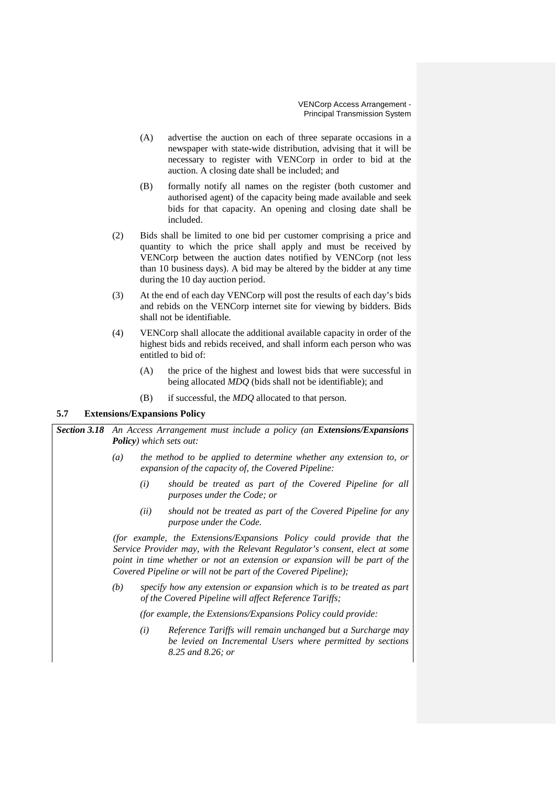- (A) advertise the auction on each of three separate occasions in a newspaper with state-wide distribution, advising that it will be necessary to register with VENCorp in order to bid at the auction. A closing date shall be included; and
- (B) formally notify all names on the register (both customer and authorised agent) of the capacity being made available and seek bids for that capacity. An opening and closing date shall be included.
- (2) Bids shall be limited to one bid per customer comprising a price and quantity to which the price shall apply and must be received by VENCorp between the auction dates notified by VENCorp (not less than 10 business days). A bid may be altered by the bidder at any time during the 10 day auction period.
- (3) At the end of each day VENCorp will post the results of each day's bids and rebids on the VENCorp internet site for viewing by bidders. Bids shall not be identifiable.
- (4) VENCorp shall allocate the additional available capacity in order of the highest bids and rebids received, and shall inform each person who was entitled to bid of:
	- (A) the price of the highest and lowest bids that were successful in being allocated *MDQ* (bids shall not be identifiable); and
	- (B) if successful, the *MDQ* allocated to that person.

# **5.7 Extensions/Expansions Policy**

**Section 3.18** An Access Arrangement must include a policy (an *Extensions/Expansions Policy) which sets out:*

- *(a) the method to be applied to determine whether any extension to, or expansion of the capacity of, the Covered Pipeline:*
	- *(i) should be treated as part of the Covered Pipeline for all purposes under the Code; or*
	- *(ii) should not be treated as part of the Covered Pipeline for any purpose under the Code.*

*(for example, the Extensions/Expansions Policy could provide that the Service Provider may, with the Relevant Regulator's consent, elect at some point in time whether or not an extension or expansion will be part of the Covered Pipeline or will not be part of the Covered Pipeline);*

*(b) specify how any extension or expansion which is to be treated as part of the Covered Pipeline will affect Reference Tariffs;*

*(for example, the Extensions/Expansions Policy could provide:*

*(i) Reference Tariffs will remain unchanged but a Surcharge may be levied on Incremental Users where permitted by sections 8.25 and 8.26; or*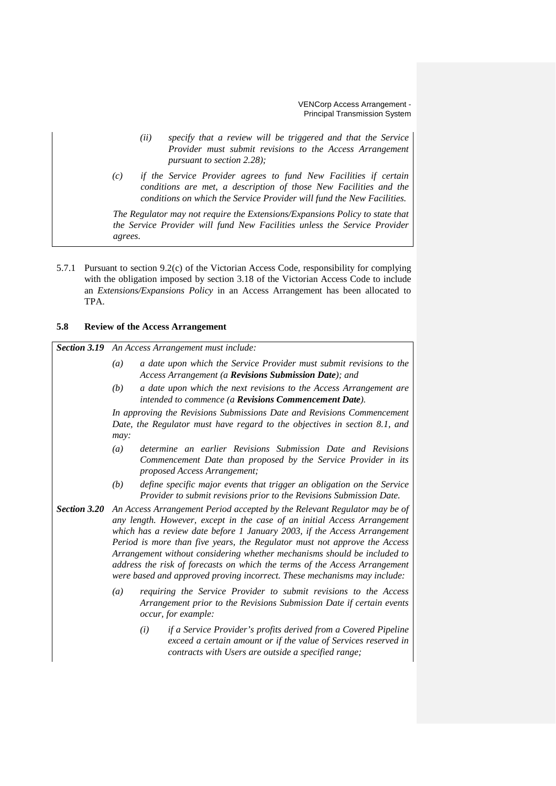- *(ii) specify that a review will be triggered and that the Service Provider must submit revisions to the Access Arrangement pursuant to section 2.28);*
- *(c) if the Service Provider agrees to fund New Facilities if certain conditions are met, a description of those New Facilities and the conditions on which the Service Provider will fund the New Facilities.*

*The Regulator may not require the Extensions/Expansions Policy to state that the Service Provider will fund New Facilities unless the Service Provider agrees.*

5.7.1 Pursuant to section 9.2(c) of the Victorian Access Code, responsibility for complying with the obligation imposed by section 3.18 of the Victorian Access Code to include an *Extensions/Expansions Policy* in an Access Arrangement has been allocated to TPA.

### **5.8 Review of the Access Arrangement**

*Section 3.19 An Access Arrangement must include: (a) a date upon which the Service Provider must submit revisions to the Access Arrangement (a Revisions Submission Date); and (b) a date upon which the next revisions to the Access Arrangement are intended to commence (a Revisions Commencement Date). In approving the Revisions Submissions Date and Revisions Commencement Date, the Regulator must have regard to the objectives in section 8.1, and may: (a) determine an earlier Revisions Submission Date and Revisions Commencement Date than proposed by the Service Provider in its proposed Access Arrangement; (b) define specific major events that trigger an obligation on the Service Provider to submit revisions prior to the Revisions Submission Date. Section 3.20 An Access Arrangement Period accepted by the Relevant Regulator may be of any length. However, except in the case of an initial Access Arrangement which has a review date before 1 January 2003, if the Access Arrangement Period is more than five years, the Regulator must not approve the Access Arrangement without considering whether mechanisms should be included to address the risk of forecasts on which the terms of the Access Arrangement were based and approved proving incorrect. These mechanisms may include: (a) requiring the Service Provider to submit revisions to the Access Arrangement prior to the Revisions Submission Date if certain events occur, for example:*

> *(i) if a Service Provider's profits derived from a Covered Pipeline exceed a certain amount or if the value of Services reserved in contracts with Users are outside a specified range;*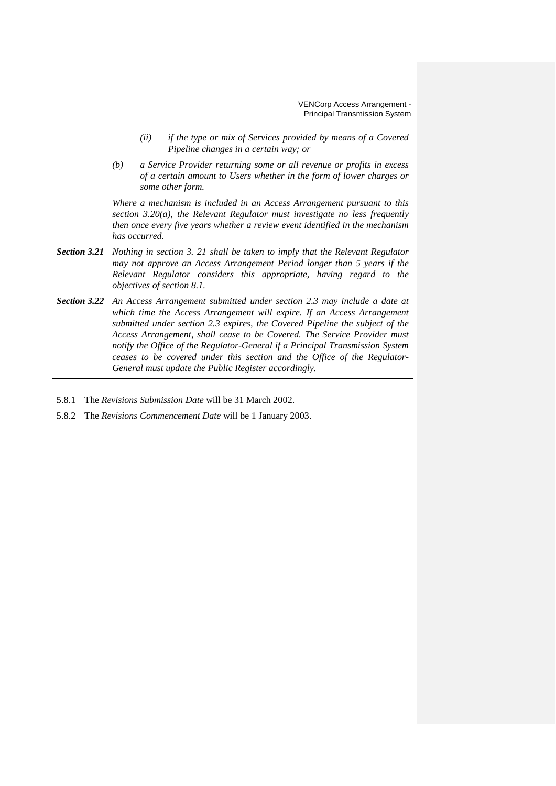- *(ii) if the type or mix of Services provided by means of a Covered Pipeline changes in a certain way; or*
- *(b) a Service Provider returning some or all revenue or profits in excess of a certain amount to Users whether in the form of lower charges or some other form.*

*Where a mechanism is included in an Access Arrangement pursuant to this section 3.20(a), the Relevant Regulator must investigate no less frequently then once every five years whether a review event identified in the mechanism has occurred.*

- *Section 3.21 Nothing in section 3. 21 shall be taken to imply that the Relevant Regulator may not approve an Access Arrangement Period longer than 5 years if the Relevant Regulator considers this appropriate, having regard to the objectives of section 8.1.*
- *Section 3.22 An Access Arrangement submitted under section 2.3 may include a date at which time the Access Arrangement will expire. If an Access Arrangement submitted under section 2.3 expires, the Covered Pipeline the subject of the Access Arrangement, shall cease to be Covered. The Service Provider must notify the Office of the Regulator-General if a Principal Transmission System ceases to be covered under this section and the Office of the Regulator-General must update the Public Register accordingly.*
- 5.8.1 The *Revisions Submission Date* will be 31 March 2002.
- 5.8.2 The *Revisions Commencement Date* will be 1 January 2003.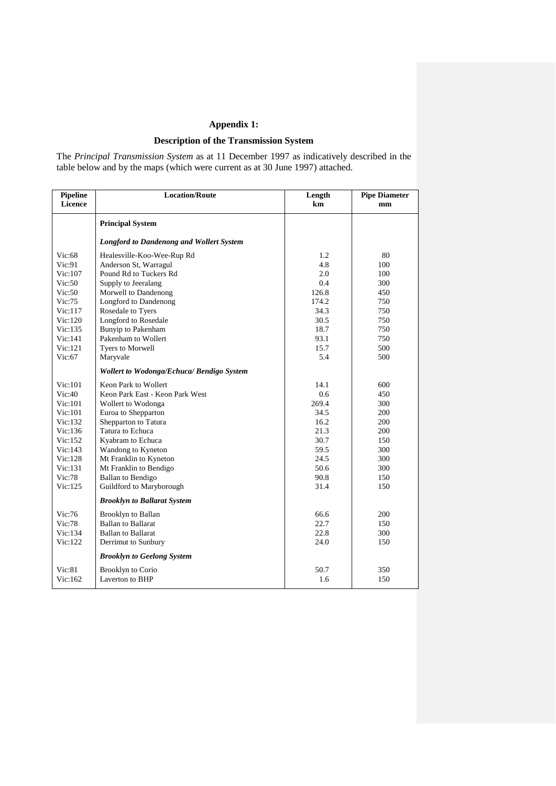# **Appendix 1:**

# **Description of the Transmission System**

The *Principal Transmission System* as at 11 December 1997 as indicatively described in the table below and by the maps (which were current as at 30 June 1997) attached.

| Pipeline<br>Licence | <b>Location/Route</b>                            | Length<br>km | <b>Pipe Diameter</b><br>mm |
|---------------------|--------------------------------------------------|--------------|----------------------------|
|                     | <b>Principal System</b>                          |              |                            |
|                     | <b>Longford to Dandenong and Wollert System</b>  |              |                            |
| Vic:68              | Healesville-Koo-Wee-Rup Rd                       | 1.2          | 80                         |
| Vic:91              | Anderson St, Warragul                            | 4.8          | 100                        |
| Vic:107             | Pound Rd to Tuckers Rd                           | 2.0          | 100                        |
| Vic:50              | Supply to Jeeralang                              | 0.4          | 300                        |
| Vic:50              | Morwell to Dandenong                             | 126.8        | 450                        |
| Vic:75              | Longford to Dandenong                            | 174.2        | 750                        |
| Vic:117             | Rosedale to Tyers                                | 34.3         | 750                        |
| Vic:120             | Longford to Rosedale                             | 30.5         | 750                        |
| Vic:135             | Bunyip to Pakenham                               | 18.7         | 750                        |
| Vic:141             | Pakenham to Wollert                              | 93.1         | 750                        |
| Vic:121             | Tyers to Morwell                                 | 15.7         | 500                        |
| Vic:67              | Maryvale                                         | 5.4          | 500                        |
|                     | <b>Wollert to Wodonga/Echuca/ Bendigo System</b> |              |                            |
| Vic:101             | Keon Park to Wollert                             | 14.1         | 600                        |
| Vic:40              | Keon Park East - Keon Park West                  | 0.6          | 450                        |
| Vic:101             | Wollert to Wodonga                               | 269.4        | 300                        |
| Vic:101             | Euroa to Shepparton                              | 34.5         | 200                        |
| Vic:132             | Shepparton to Tatura                             | 16.2         | 200                        |
| Vic:136             | Tatura to Echuca                                 | 21.3         | 200                        |
| Vic:152             | Kyabram to Echuca                                | 30.7         | 150                        |
| Vic:143             | Wandong to Kyneton                               | 59.5         | 300                        |
| Vic:128             | Mt Franklin to Kyneton                           | 24.5         | 300                        |
| Vic:131             | Mt Franklin to Bendigo                           | 50.6         | 300                        |
| Vic:78              | <b>Ballan</b> to Bendigo                         | 90.8         | 150                        |
| Vic:125             | Guildford to Maryborough                         | 31.4         | 150                        |
|                     | <b>Brooklyn to Ballarat System</b>               |              |                            |
| Vic:76              | <b>Brooklyn</b> to Ballan                        | 66.6         | 200                        |
| Vic:78              | <b>Ballan to Ballarat</b>                        | 22.7         | 150                        |
| Vic:134             | <b>Ballan to Ballarat</b>                        | 22.8         | 300                        |
| Vic:122             | Derrimut to Sunbury                              | 24.0         | 150                        |
|                     | <b>Brooklyn to Geelong System</b>                |              |                            |
| Vic:81              | <b>Brooklyn to Corio</b>                         | 50.7         | 350                        |
| Vic:162             | Laverton to BHP                                  | 1.6          | 150                        |
|                     |                                                  |              |                            |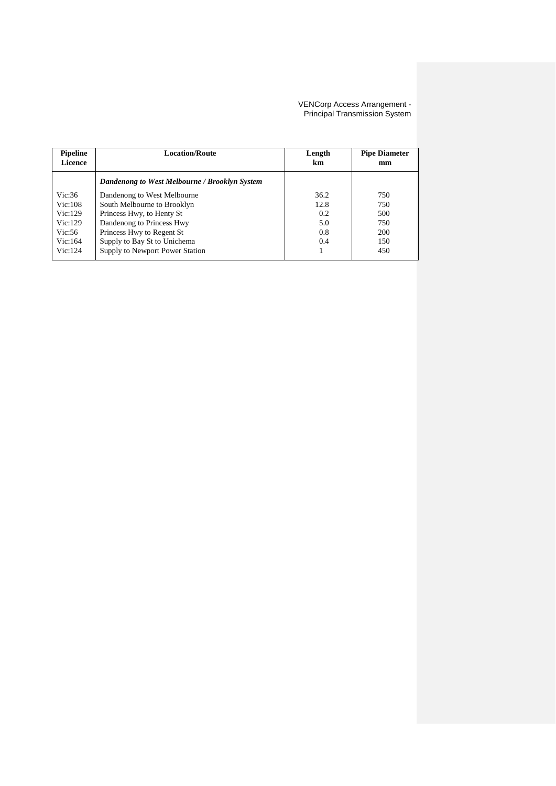| <b>Pipeline</b><br><b>Licence</b> | <b>Location/Route</b>                         | Length<br>km | <b>Pipe Diameter</b><br>mm |
|-----------------------------------|-----------------------------------------------|--------------|----------------------------|
|                                   | Dandenong to West Melbourne / Brooklyn System |              |                            |
| Vic:36                            | Dandenong to West Melbourne                   | 36.2         | 750                        |
| Vic:108                           | South Melbourne to Brooklyn                   | 12.8         | 750                        |
| Vic:129                           | Princess Hwy, to Henty St                     | 0.2          | 500                        |
| Vic:129                           | Dandenong to Princess Hwy                     | 5.0          | 750                        |
| Vic:56                            | Princess Hwy to Regent St                     | 0.8          | 200                        |
| Vic:164                           | Supply to Bay St to Unichema                  | 0.4          | 150                        |
| Vic:124                           | Supply to Newport Power Station               |              | 450                        |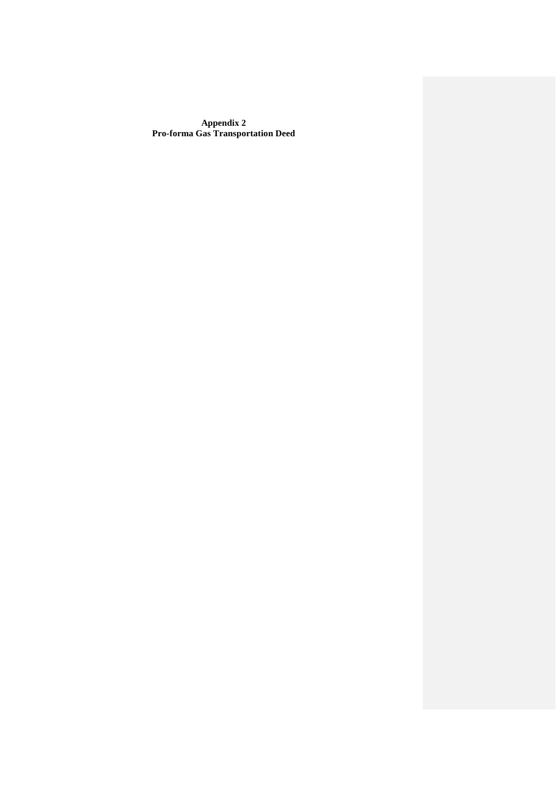**Appendix 2 Pro-forma Gas Transportation Deed**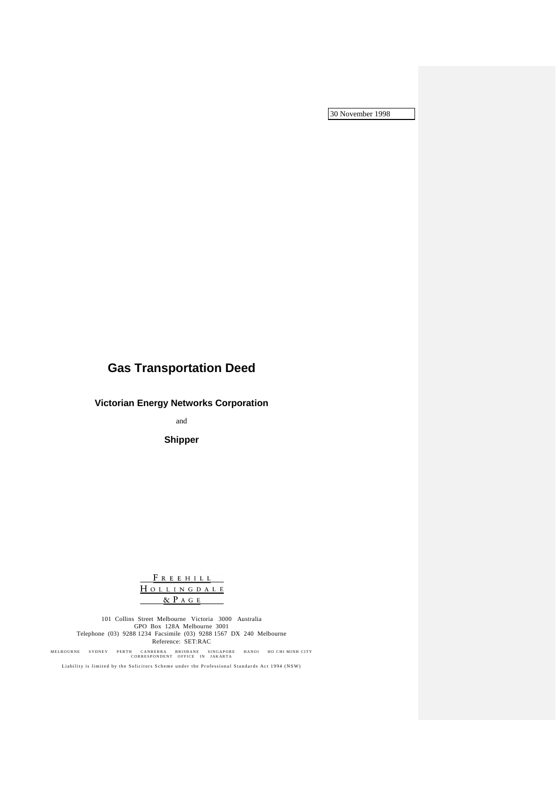30 November 1998

# **Gas Transportation Deed**

**Victorian Energy Networks Corporation**

and

**Shipper**

FREEHILL HOLLINGDALE  $\&$  P  $A$  G  $E$ 

101 Collins Street Melbourne Victoria 3000 Australia GPO Box 128A Melbourne 3001 Telephone (03) 9288 1234 Facsimile (03) 9288 1567 DX 240 Melbourne Reference: SET:RAC

MELBOURNE SYDNEY PERTH CANBERRA BRISBANE SINGAPORE HANOI HO CHI MINH CITY<br>CORRESPONDENT OFFICE IN JAKARTA

Liability is limited by the Solicitors Scheme under the Professional Standards Act 1994 (NSW)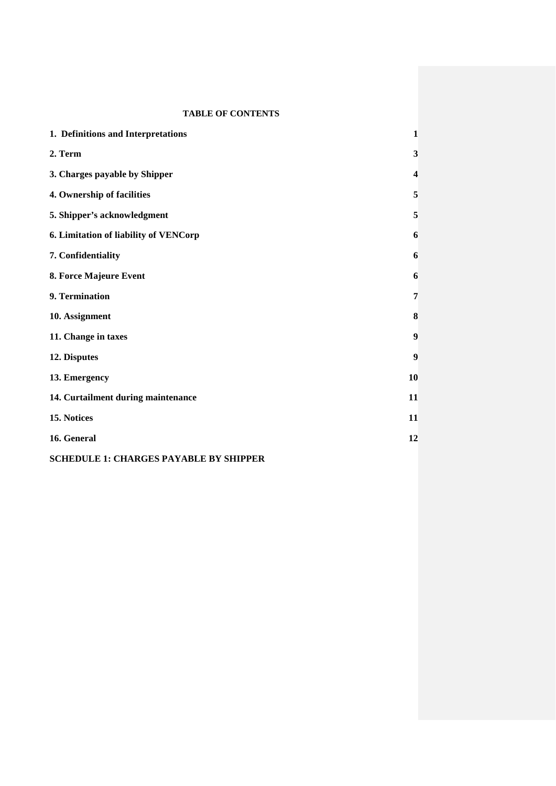# **TABLE OF CONTENTS**

| 1. Definitions and Interpretations    | 1                       |
|---------------------------------------|-------------------------|
| 2. Term                               | 3                       |
| 3. Charges payable by Shipper         | $\overline{\mathbf{4}}$ |
| 4. Ownership of facilities            | 5                       |
| 5. Shipper's acknowledgment           | 5                       |
| 6. Limitation of liability of VENCorp | 6                       |
| 7. Confidentiality                    | 6                       |
| 8. Force Majeure Event                | 6                       |
| 9. Termination                        | 7                       |
| 10. Assignment                        | 8                       |
| 11. Change in taxes                   | 9                       |
| 12. Disputes                          | 9                       |
| 13. Emergency                         | 10                      |
| 14. Curtailment during maintenance    | 11                      |
| 15. Notices                           | 11                      |
| 16. General                           | 12                      |
|                                       |                         |

**SCHEDULE 1: CHARGES PAYABLE BY SHIPPER**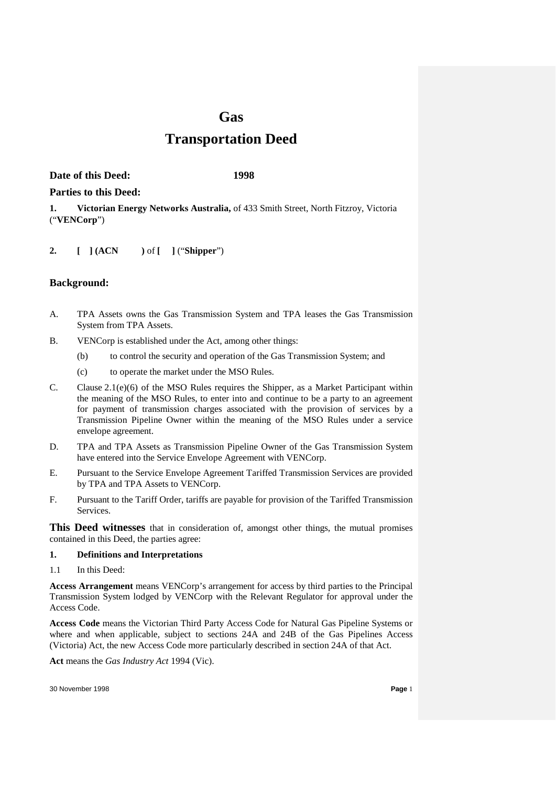# **Gas**

# **Transportation Deed**

**Date of this Deed: 1998**

# **Parties to this Deed:**

**1. Victorian Energy Networks Australia,** of 433 Smith Street, North Fitzroy, Victoria ("**VENCorp**")

**2. [ ] (ACN )** of **[ ]** ("**Shipper**")

# **Background:**

- A. TPA Assets owns the Gas Transmission System and TPA leases the Gas Transmission System from TPA Assets.
- B. VENCorp is established under the Act, among other things:
	- (b) to control the security and operation of the Gas Transmission System; and
	- (c) to operate the market under the MSO Rules.
- C. Clause  $2.1(e)(6)$  of the MSO Rules requires the Shipper, as a Market Participant within the meaning of the MSO Rules, to enter into and continue to be a party to an agreement for payment of transmission charges associated with the provision of services by a Transmission Pipeline Owner within the meaning of the MSO Rules under a service envelope agreement.
- D. TPA and TPA Assets as Transmission Pipeline Owner of the Gas Transmission System have entered into the Service Envelope Agreement with VENCorp.
- E. Pursuant to the Service Envelope Agreement Tariffed Transmission Services are provided by TPA and TPA Assets to VENCorp.
- F. Pursuant to the Tariff Order, tariffs are payable for provision of the Tariffed Transmission Services.

**This Deed witnesses** that in consideration of, amongst other things, the mutual promises contained in this Deed, the parties agree:

# **1. Definitions and Interpretations**

1.1 In this Deed:

**Access Arrangement** means VENCorp's arrangement for access by third parties to the Principal Transmission System lodged by VENCorp with the Relevant Regulator for approval under the Access Code.

**Access Code** means the Victorian Third Party Access Code for Natural Gas Pipeline Systems or where and when applicable, subject to sections 24A and 24B of the Gas Pipelines Access (Victoria) Act, the new Access Code more particularly described in section 24A of that Act.

**Act** means the *Gas Industry Act* 1994 (Vic).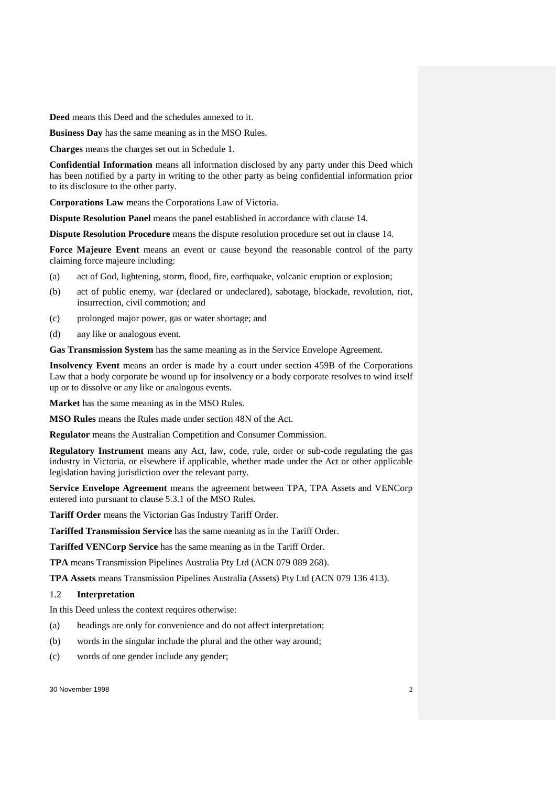**Deed** means this Deed and the schedules annexed to it.

**Business Day** has the same meaning as in the MSO Rules.

**Charges** means the charges set out in Schedule 1.

**Confidential Information** means all information disclosed by any party under this Deed which has been notified by a party in writing to the other party as being confidential information prior to its disclosure to the other party.

**Corporations Law** means the Corporations Law of Victoria.

**Dispute Resolution Panel** means the panel established in accordance with clause 14.

**Dispute Resolution Procedure** means the dispute resolution procedure set out in clause 14.

**Force Majeure Event** means an event or cause beyond the reasonable control of the party claiming force majeure including:

- (a) act of God, lightening, storm, flood, fire, earthquake, volcanic eruption or explosion;
- (b) act of public enemy, war (declared or undeclared), sabotage, blockade, revolution, riot, insurrection, civil commotion; and
- (c) prolonged major power, gas or water shortage; and
- (d) any like or analogous event.

**Gas Transmission System** has the same meaning as in the Service Envelope Agreement.

**Insolvency Event** means an order is made by a court under section 459B of the Corporations Law that a body corporate be wound up for insolvency or a body corporate resolves to wind itself up or to dissolve or any like or analogous events.

**Market** has the same meaning as in the MSO Rules.

**MSO Rules** means the Rules made under section 48N of the Act.

**Regulator** means the Australian Competition and Consumer Commission.

**Regulatory Instrument** means any Act, law, code, rule, order or sub-code regulating the gas industry in Victoria, or elsewhere if applicable, whether made under the Act or other applicable legislation having jurisdiction over the relevant party.

**Service Envelope Agreement** means the agreement between TPA, TPA Assets and VENCorp entered into pursuant to clause 5.3.1 of the MSO Rules.

**Tariff Order** means the Victorian Gas Industry Tariff Order.

**Tariffed Transmission Service** has the same meaning as in the Tariff Order.

**Tariffed VENCorp Service** has the same meaning as in the Tariff Order.

**TPA** means Transmission Pipelines Australia Pty Ltd (ACN 079 089 268).

**TPA Assets** means Transmission Pipelines Australia (Assets) Pty Ltd (ACN 079 136 413).

#### 1.2 **Interpretation**

In this Deed unless the context requires otherwise:

- (a) headings are only for convenience and do not affect interpretation;
- (b) words in the singular include the plural and the other way around;
- (c) words of one gender include any gender;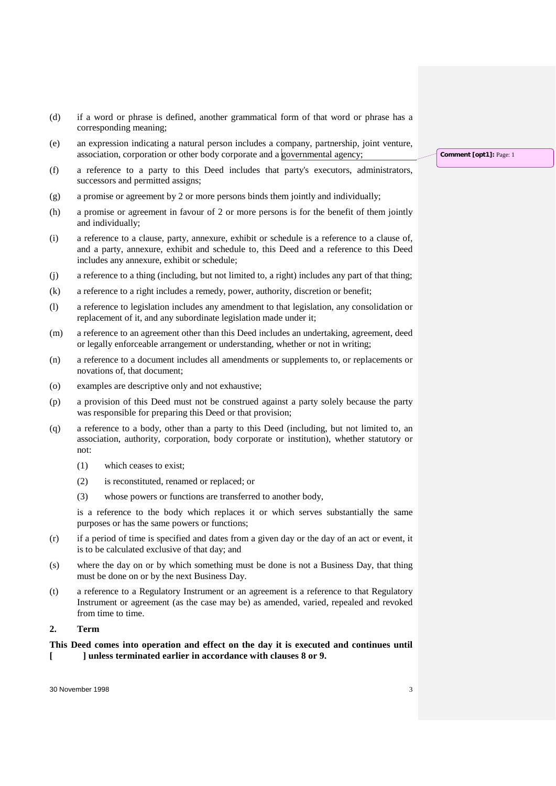- (d) if a word or phrase is defined, another grammatical form of that word or phrase has a corresponding meaning;
- (e) an expression indicating a natural person includes a company, partnership, joint venture, association, corporation or other body corporate and a governmental agency;
- (f) a reference to a party to this Deed includes that party's executors, administrators, successors and permitted assigns;
- (g) a promise or agreement by 2 or more persons binds them jointly and individually;
- (h) a promise or agreement in favour of 2 or more persons is for the benefit of them jointly and individually;
- (i) a reference to a clause, party, annexure, exhibit or schedule is a reference to a clause of, and a party, annexure, exhibit and schedule to, this Deed and a reference to this Deed includes any annexure, exhibit or schedule;
- (j) a reference to a thing (including, but not limited to, a right) includes any part of that thing;
- (k) a reference to a right includes a remedy, power, authority, discretion or benefit;
- (l) a reference to legislation includes any amendment to that legislation, any consolidation or replacement of it, and any subordinate legislation made under it;
- (m) a reference to an agreement other than this Deed includes an undertaking, agreement, deed or legally enforceable arrangement or understanding, whether or not in writing;
- (n) a reference to a document includes all amendments or supplements to, or replacements or novations of, that document;
- (o) examples are descriptive only and not exhaustive;
- (p) a provision of this Deed must not be construed against a party solely because the party was responsible for preparing this Deed or that provision;
- (q) a reference to a body, other than a party to this Deed (including, but not limited to, an association, authority, corporation, body corporate or institution), whether statutory or not:
	- (1) which ceases to exist;
	- (2) is reconstituted, renamed or replaced; or
	- (3) whose powers or functions are transferred to another body,

is a reference to the body which replaces it or which serves substantially the same purposes or has the same powers or functions;

- (r) if a period of time is specified and dates from a given day or the day of an act or event, it is to be calculated exclusive of that day; and
- (s) where the day on or by which something must be done is not a Business Day, that thing must be done on or by the next Business Day.
- (t) a reference to a Regulatory Instrument or an agreement is a reference to that Regulatory Instrument or agreement (as the case may be) as amended, varied, repealed and revoked from time to time.

# **2. Term**

# **This Deed comes into operation and effect on the day it is executed and continues until [ ] unless terminated earlier in accordance with clauses 8 or 9.**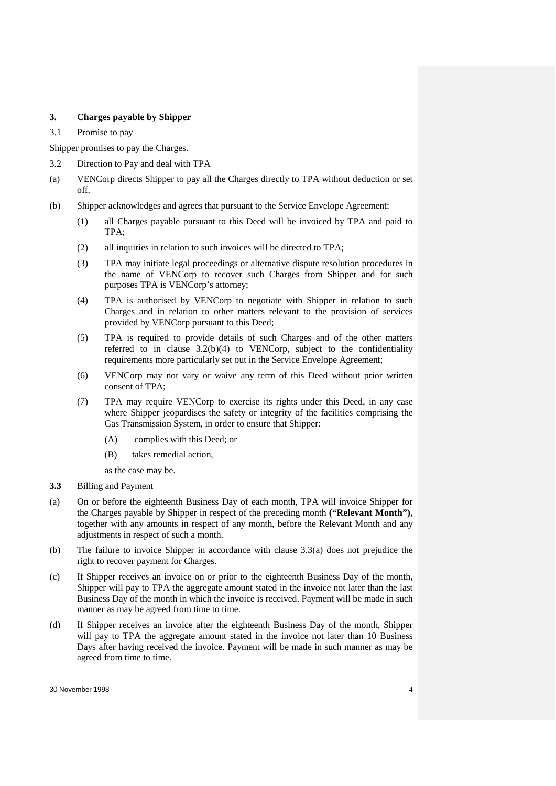# **3. Charges payable by Shipper**

3.1 Promise to pay

Shipper promises to pay the Charges.

- 3.2 Direction to Pay and deal with TPA
- (a) VENCorp directs Shipper to pay all the Charges directly to TPA without deduction or set off.
- (b) Shipper acknowledges and agrees that pursuant to the Service Envelope Agreement:
	- (1) all Charges payable pursuant to this Deed will be invoiced by TPA and paid to TPA;
	- (2) all inquiries in relation to such invoices will be directed to TPA;
	- (3) TPA may initiate legal proceedings or alternative dispute resolution procedures in the name of VENCorp to recover such Charges from Shipper and for such purposes TPA is VENCorp's attorney;
	- (4) TPA is authorised by VENCorp to negotiate with Shipper in relation to such Charges and in relation to other matters relevant to the provision of services provided by VENCorp pursuant to this Deed;
	- (5) TPA is required to provide details of such Charges and of the other matters referred to in clause 3.2(b)(4) to VENCorp, subject to the confidentiality requirements more particularly set out in the Service Envelope Agreement;
	- (6) VENCorp may not vary or waive any term of this Deed without prior written consent of TPA;
	- (7) TPA may require VENCorp to exercise its rights under this Deed, in any case where Shipper jeopardises the safety or integrity of the facilities comprising the Gas Transmission System, in order to ensure that Shipper:
		- (A) complies with this Deed; or
		- (B) takes remedial action,

as the case may be.

- **3.3** Billing and Payment
- (a) On or before the eighteenth Business Day of each month, TPA will invoice Shipper for the Charges payable by Shipper in respect of the preceding month **("Relevant Month"),**  together with any amounts in respect of any month, before the Relevant Month and any adjustments in respect of such a month.
- (b) The failure to invoice Shipper in accordance with clause 3.3(a) does not prejudice the right to recover payment for Charges.
- (c) If Shipper receives an invoice on or prior to the eighteenth Business Day of the month, Shipper will pay to TPA the aggregate amount stated in the invoice not later than the last Business Day of the month in which the invoice is received. Payment will be made in such manner as may be agreed from time to time.
- (d) If Shipper receives an invoice after the eighteenth Business Day of the month, Shipper will pay to TPA the aggregate amount stated in the invoice not later than 10 Business Days after having received the invoice. Payment will be made in such manner as may be agreed from time to time.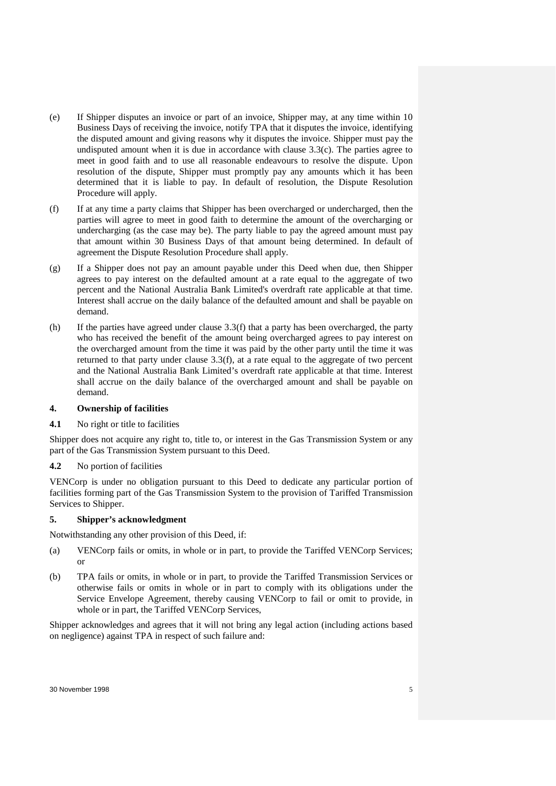- (e) If Shipper disputes an invoice or part of an invoice, Shipper may, at any time within 10 Business Days of receiving the invoice, notify TPA that it disputes the invoice, identifying the disputed amount and giving reasons why it disputes the invoice. Shipper must pay the undisputed amount when it is due in accordance with clause 3.3(c). The parties agree to meet in good faith and to use all reasonable endeavours to resolve the dispute. Upon resolution of the dispute, Shipper must promptly pay any amounts which it has been determined that it is liable to pay. In default of resolution, the Dispute Resolution Procedure will apply.
- (f) If at any time a party claims that Shipper has been overcharged or undercharged, then the parties will agree to meet in good faith to determine the amount of the overcharging or undercharging (as the case may be). The party liable to pay the agreed amount must pay that amount within 30 Business Days of that amount being determined. In default of agreement the Dispute Resolution Procedure shall apply.
- (g) If a Shipper does not pay an amount payable under this Deed when due, then Shipper agrees to pay interest on the defaulted amount at a rate equal to the aggregate of two percent and the National Australia Bank Limited's overdraft rate applicable at that time. Interest shall accrue on the daily balance of the defaulted amount and shall be payable on demand.
- (h) If the parties have agreed under clause 3.3(f) that a party has been overcharged, the party who has received the benefit of the amount being overcharged agrees to pay interest on the overcharged amount from the time it was paid by the other party until the time it was returned to that party under clause 3.3(f), at a rate equal to the aggregate of two percent and the National Australia Bank Limited's overdraft rate applicable at that time. Interest shall accrue on the daily balance of the overcharged amount and shall be payable on demand.

### **4. Ownership of facilities**

**4.1** No right or title to facilities

Shipper does not acquire any right to, title to, or interest in the Gas Transmission System or any part of the Gas Transmission System pursuant to this Deed.

### **4.2** No portion of facilities

VENCorp is under no obligation pursuant to this Deed to dedicate any particular portion of facilities forming part of the Gas Transmission System to the provision of Tariffed Transmission Services to Shipper.

# **5. Shipper's acknowledgment**

Notwithstanding any other provision of this Deed, if:

- (a) VENCorp fails or omits, in whole or in part, to provide the Tariffed VENCorp Services; or
- (b) TPA fails or omits, in whole or in part, to provide the Tariffed Transmission Services or otherwise fails or omits in whole or in part to comply with its obligations under the Service Envelope Agreement, thereby causing VENCorp to fail or omit to provide, in whole or in part, the Tariffed VENCorp Services,

Shipper acknowledges and agrees that it will not bring any legal action (including actions based on negligence) against TPA in respect of such failure and: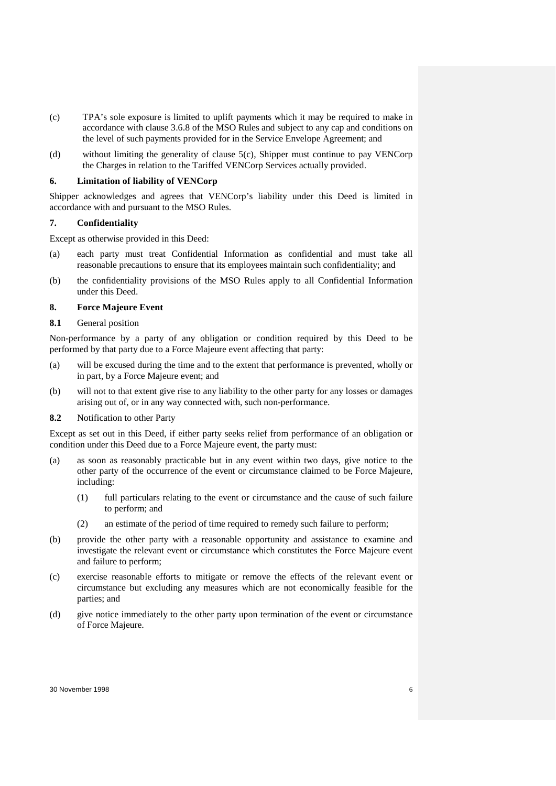- (c) TPA's sole exposure is limited to uplift payments which it may be required to make in accordance with clause 3.6.8 of the MSO Rules and subject to any cap and conditions on the level of such payments provided for in the Service Envelope Agreement; and
- (d) without limiting the generality of clause 5(c), Shipper must continue to pay VENCorp the Charges in relation to the Tariffed VENCorp Services actually provided.

### **6. Limitation of liability of VENCorp**

Shipper acknowledges and agrees that VENCorp's liability under this Deed is limited in accordance with and pursuant to the MSO Rules.

### **7. Confidentiality**

Except as otherwise provided in this Deed:

- (a) each party must treat Confidential Information as confidential and must take all reasonable precautions to ensure that its employees maintain such confidentiality; and
- (b) the confidentiality provisions of the MSO Rules apply to all Confidential Information under this Deed.

# **8. Force Majeure Event**

### **8.1** General position

Non-performance by a party of any obligation or condition required by this Deed to be performed by that party due to a Force Majeure event affecting that party:

- (a) will be excused during the time and to the extent that performance is prevented, wholly or in part, by a Force Majeure event; and
- (b) will not to that extent give rise to any liability to the other party for any losses or damages arising out of, or in any way connected with, such non-performance.
- **8.2** Notification to other Party

Except as set out in this Deed, if either party seeks relief from performance of an obligation or condition under this Deed due to a Force Majeure event, the party must:

- (a) as soon as reasonably practicable but in any event within two days, give notice to the other party of the occurrence of the event or circumstance claimed to be Force Majeure, including:
	- (1) full particulars relating to the event or circumstance and the cause of such failure to perform; and
	- (2) an estimate of the period of time required to remedy such failure to perform;
- (b) provide the other party with a reasonable opportunity and assistance to examine and investigate the relevant event or circumstance which constitutes the Force Majeure event and failure to perform;
- (c) exercise reasonable efforts to mitigate or remove the effects of the relevant event or circumstance but excluding any measures which are not economically feasible for the parties; and
- (d) give notice immediately to the other party upon termination of the event or circumstance of Force Majeure.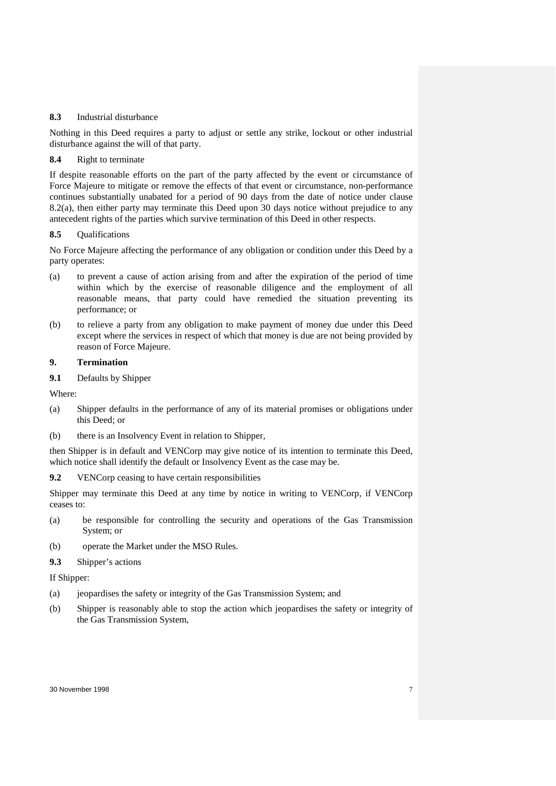### **8.3** Industrial disturbance

Nothing in this Deed requires a party to adjust or settle any strike, lockout or other industrial disturbance against the will of that party.

# **8.4** Right to terminate

If despite reasonable efforts on the part of the party affected by the event or circumstance of Force Majeure to mitigate or remove the effects of that event or circumstance, non-performance continues substantially unabated for a period of 90 days from the date of notice under clause 8.2(a), then either party may terminate this Deed upon 30 days notice without prejudice to any antecedent rights of the parties which survive termination of this Deed in other respects.

# **8.5** Qualifications

No Force Majeure affecting the performance of any obligation or condition under this Deed by a party operates:

- (a) to prevent a cause of action arising from and after the expiration of the period of time within which by the exercise of reasonable diligence and the employment of all reasonable means, that party could have remedied the situation preventing its performance; or
- (b) to relieve a party from any obligation to make payment of money due under this Deed except where the services in respect of which that money is due are not being provided by reason of Force Majeure.

# **9. Termination**

**9.1** Defaults by Shipper

Where:

- (a) Shipper defaults in the performance of any of its material promises or obligations under this Deed; or
- (b) there is an Insolvency Event in relation to Shipper,

then Shipper is in default and VENCorp may give notice of its intention to terminate this Deed, which notice shall identify the default or Insolvency Event as the case may be.

**9.2** VENCorp ceasing to have certain responsibilities

Shipper may terminate this Deed at any time by notice in writing to VENCorp, if VENCorp ceases to:

- (a) be responsible for controlling the security and operations of the Gas Transmission System; or
- (b) operate the Market under the MSO Rules.
- **9.3** Shipper's actions

If Shipper:

- (a) jeopardises the safety or integrity of the Gas Transmission System; and
- (b) Shipper is reasonably able to stop the action which jeopardises the safety or integrity of the Gas Transmission System,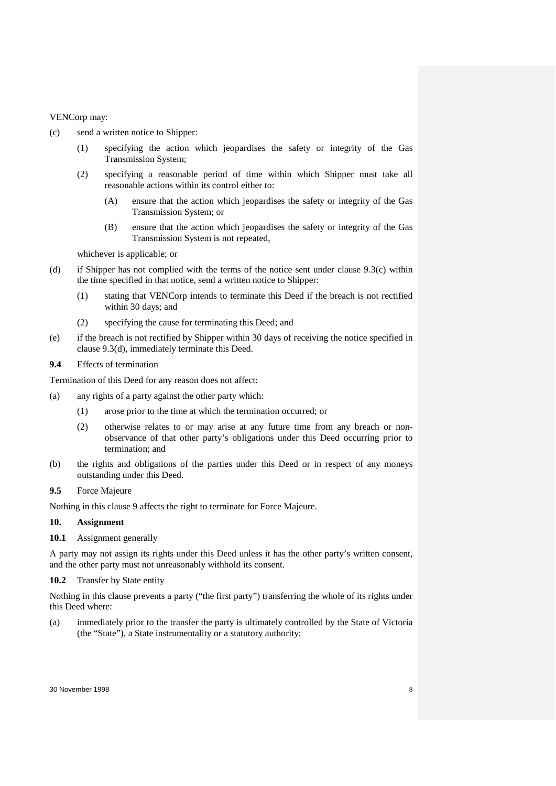# VENCorp may:

- (c) send a written notice to Shipper:
	- (1) specifying the action which jeopardises the safety or integrity of the Gas Transmission System;
	- (2) specifying a reasonable period of time within which Shipper must take all reasonable actions within its control either to:
		- (A) ensure that the action which jeopardises the safety or integrity of the Gas Transmission System; or
		- (B) ensure that the action which jeopardises the safety or integrity of the Gas Transmission System is not repeated,

whichever is applicable; or

- (d) if Shipper has not complied with the terms of the notice sent under clause 9.3(c) within the time specified in that notice, send a written notice to Shipper:
	- (1) stating that VENCorp intends to terminate this Deed if the breach is not rectified within 30 days; and
	- (2) specifying the cause for terminating this Deed; and
- (e) if the breach is not rectified by Shipper within 30 days of receiving the notice specified in clause 9.3(d), immediately terminate this Deed.
- **9.4** Effects of termination

Termination of this Deed for any reason does not affect:

- (a) any rights of a party against the other party which:
	- (1) arose prior to the time at which the termination occurred; or
	- (2) otherwise relates to or may arise at any future time from any breach or nonobservance of that other party's obligations under this Deed occurring prior to termination; and
- (b) the rights and obligations of the parties under this Deed or in respect of any moneys outstanding under this Deed.
- **9.5** Force Majeure

Nothing in this clause 9 affects the right to terminate for Force Majeure.

### **10. Assignment**

**10.1** Assignment generally

A party may not assign its rights under this Deed unless it has the other party's written consent, and the other party must not unreasonably withhold its consent.

### **10.2** Transfer by State entity

Nothing in this clause prevents a party ("the first party") transferring the whole of its rights under this Deed where:

(a) immediately prior to the transfer the party is ultimately controlled by the State of Victoria (the "State"), a State instrumentality or a statutory authority;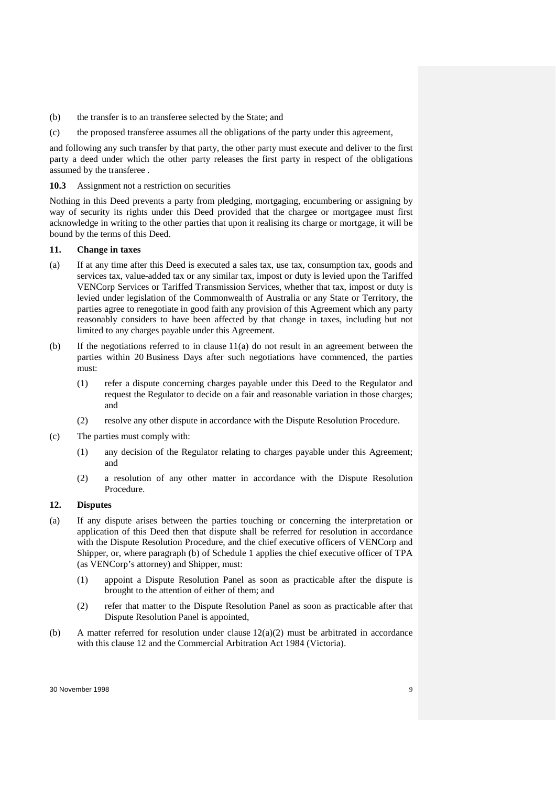- (b) the transfer is to an transferee selected by the State; and
- (c) the proposed transferee assumes all the obligations of the party under this agreement,

and following any such transfer by that party, the other party must execute and deliver to the first party a deed under which the other party releases the first party in respect of the obligations assumed by the transferee .

### **10.3** Assignment not a restriction on securities

Nothing in this Deed prevents a party from pledging, mortgaging, encumbering or assigning by way of security its rights under this Deed provided that the chargee or mortgagee must first acknowledge in writing to the other parties that upon it realising its charge or mortgage, it will be bound by the terms of this Deed.

# **11. Change in taxes**

- (a) If at any time after this Deed is executed a sales tax, use tax, consumption tax, goods and services tax, value-added tax or any similar tax, impost or duty is levied upon the Tariffed VENCorp Services or Tariffed Transmission Services, whether that tax, impost or duty is levied under legislation of the Commonwealth of Australia or any State or Territory, the parties agree to renegotiate in good faith any provision of this Agreement which any party reasonably considers to have been affected by that change in taxes, including but not limited to any charges payable under this Agreement.
- (b) If the negotiations referred to in clause  $11(a)$  do not result in an agreement between the parties within 20 Business Days after such negotiations have commenced, the parties must:
	- (1) refer a dispute concerning charges payable under this Deed to the Regulator and request the Regulator to decide on a fair and reasonable variation in those charges; and
	- (2) resolve any other dispute in accordance with the Dispute Resolution Procedure.
- (c) The parties must comply with:
	- (1) any decision of the Regulator relating to charges payable under this Agreement; and
	- (2) a resolution of any other matter in accordance with the Dispute Resolution Procedure.

### **12. Disputes**

- (a) If any dispute arises between the parties touching or concerning the interpretation or application of this Deed then that dispute shall be referred for resolution in accordance with the Dispute Resolution Procedure, and the chief executive officers of VENCorp and Shipper, or, where paragraph (b) of Schedule 1 applies the chief executive officer of TPA (as VENCorp's attorney) and Shipper, must:
	- (1) appoint a Dispute Resolution Panel as soon as practicable after the dispute is brought to the attention of either of them; and
	- (2) refer that matter to the Dispute Resolution Panel as soon as practicable after that Dispute Resolution Panel is appointed,
- (b) A matter referred for resolution under clause  $12(a)(2)$  must be arbitrated in accordance with this clause 12 and the Commercial Arbitration Act 1984 (Victoria).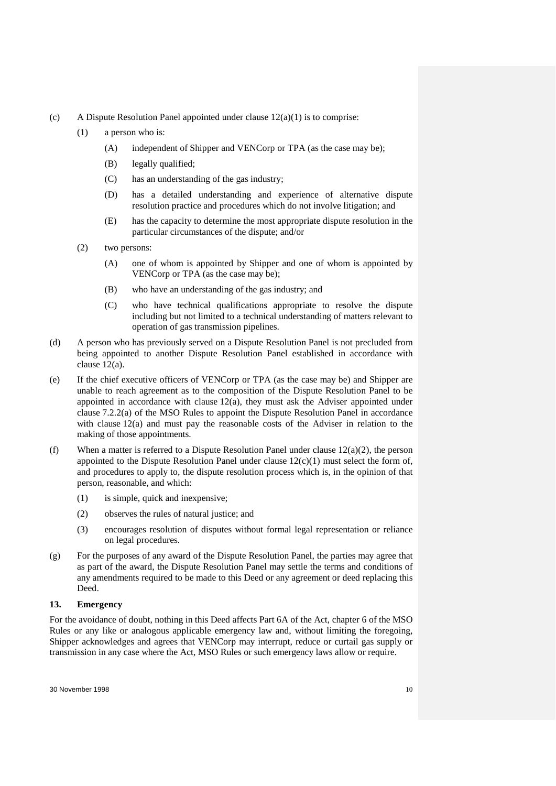- (c) A Dispute Resolution Panel appointed under clause  $12(a)(1)$  is to comprise:
	- (1) a person who is:
		- (A) independent of Shipper and VENCorp or TPA (as the case may be);
		- (B) legally qualified;
		- (C) has an understanding of the gas industry;
		- (D) has a detailed understanding and experience of alternative dispute resolution practice and procedures which do not involve litigation; and
		- (E) has the capacity to determine the most appropriate dispute resolution in the particular circumstances of the dispute; and/or
	- (2) two persons:
		- (A) one of whom is appointed by Shipper and one of whom is appointed by VENCorp or TPA (as the case may be);
		- (B) who have an understanding of the gas industry; and
		- (C) who have technical qualifications appropriate to resolve the dispute including but not limited to a technical understanding of matters relevant to operation of gas transmission pipelines.
- (d) A person who has previously served on a Dispute Resolution Panel is not precluded from being appointed to another Dispute Resolution Panel established in accordance with clause 12(a).
- (e) If the chief executive officers of VENCorp or TPA (as the case may be) and Shipper are unable to reach agreement as to the composition of the Dispute Resolution Panel to be appointed in accordance with clause 12(a), they must ask the Adviser appointed under clause 7.2.2(a) of the MSO Rules to appoint the Dispute Resolution Panel in accordance with clause 12(a) and must pay the reasonable costs of the Adviser in relation to the making of those appointments.
- (f) When a matter is referred to a Dispute Resolution Panel under clause  $12(a)(2)$ , the person appointed to the Dispute Resolution Panel under clause  $12(c)(1)$  must select the form of, and procedures to apply to, the dispute resolution process which is, in the opinion of that person, reasonable, and which:
	- (1) is simple, quick and inexpensive;
	- (2) observes the rules of natural justice; and
	- (3) encourages resolution of disputes without formal legal representation or reliance on legal procedures.
- (g) For the purposes of any award of the Dispute Resolution Panel, the parties may agree that as part of the award, the Dispute Resolution Panel may settle the terms and conditions of any amendments required to be made to this Deed or any agreement or deed replacing this Deed.

# **13. Emergency**

For the avoidance of doubt, nothing in this Deed affects Part 6A of the Act, chapter 6 of the MSO Rules or any like or analogous applicable emergency law and, without limiting the foregoing, Shipper acknowledges and agrees that VENCorp may interrupt, reduce or curtail gas supply or transmission in any case where the Act, MSO Rules or such emergency laws allow or require.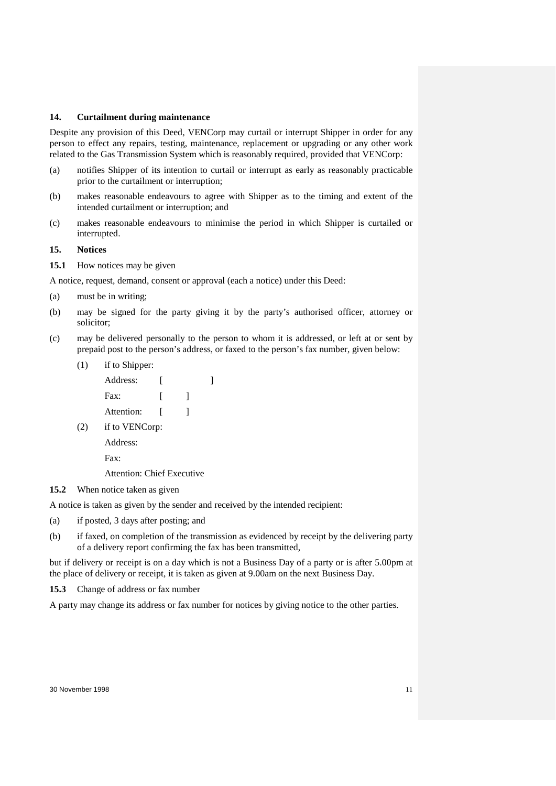# **14. Curtailment during maintenance**

Despite any provision of this Deed, VENCorp may curtail or interrupt Shipper in order for any person to effect any repairs, testing, maintenance, replacement or upgrading or any other work related to the Gas Transmission System which is reasonably required, provided that VENCorp:

- (a) notifies Shipper of its intention to curtail or interrupt as early as reasonably practicable prior to the curtailment or interruption;
- (b) makes reasonable endeavours to agree with Shipper as to the timing and extent of the intended curtailment or interruption; and
- (c) makes reasonable endeavours to minimise the period in which Shipper is curtailed or interrupted.
- **15. Notices**
- **15.1** How notices may be given

A notice, request, demand, consent or approval (each a notice) under this Deed:

- (a) must be in writing;
- (b) may be signed for the party giving it by the party's authorised officer, attorney or solicitor;
- (c) may be delivered personally to the person to whom it is addressed, or left at or sent by prepaid post to the person's address, or faxed to the person's fax number, given below:
	- (1) if to Shipper:
		- Address: [ ] Fax:  $\begin{bmatrix} 1 \end{bmatrix}$ Attention: [ ]
	- (2) if to VENCorp:

Address:

Fax:

Attention: Chief Executive

**15.2** When notice taken as given

A notice is taken as given by the sender and received by the intended recipient:

- (a) if posted, 3 days after posting; and
- (b) if faxed, on completion of the transmission as evidenced by receipt by the delivering party of a delivery report confirming the fax has been transmitted,

but if delivery or receipt is on a day which is not a Business Day of a party or is after 5.00pm at the place of delivery or receipt, it is taken as given at 9.00am on the next Business Day.

**15.3** Change of address or fax number

A party may change its address or fax number for notices by giving notice to the other parties.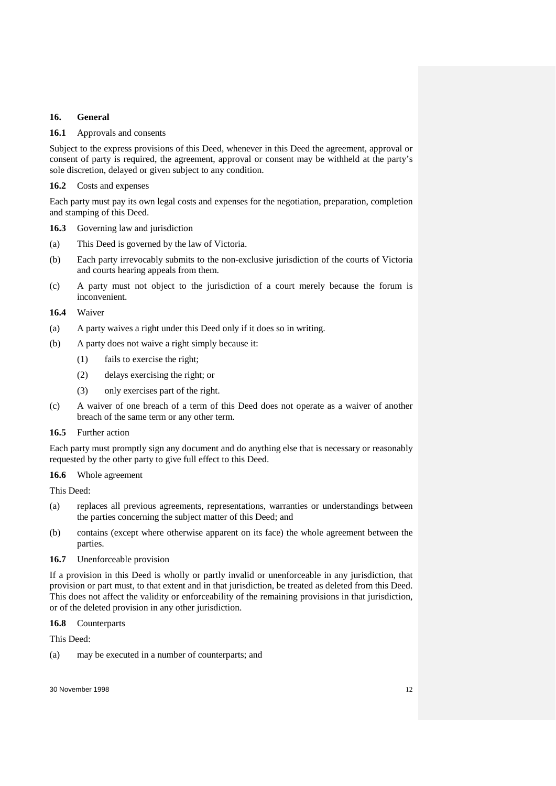# **16. General**

# **16.1** Approvals and consents

Subject to the express provisions of this Deed, whenever in this Deed the agreement, approval or consent of party is required, the agreement, approval or consent may be withheld at the party's sole discretion, delayed or given subject to any condition.

# **16.2** Costs and expenses

Each party must pay its own legal costs and expenses for the negotiation, preparation, completion and stamping of this Deed.

**16.3** Governing law and jurisdiction

- (a) This Deed is governed by the law of Victoria.
- (b) Each party irrevocably submits to the non-exclusive jurisdiction of the courts of Victoria and courts hearing appeals from them.
- (c) A party must not object to the jurisdiction of a court merely because the forum is inconvenient.

### **16.4** Waiver

- (a) A party waives a right under this Deed only if it does so in writing.
- (b) A party does not waive a right simply because it:
	- (1) fails to exercise the right;
	- (2) delays exercising the right; or
	- (3) only exercises part of the right.
- (c) A waiver of one breach of a term of this Deed does not operate as a waiver of another breach of the same term or any other term.

# **16.5** Further action

Each party must promptly sign any document and do anything else that is necessary or reasonably requested by the other party to give full effect to this Deed.

# **16.6** Whole agreement

This Deed:

- (a) replaces all previous agreements, representations, warranties or understandings between the parties concerning the subject matter of this Deed; and
- (b) contains (except where otherwise apparent on its face) the whole agreement between the parties.

### **16.7** Unenforceable provision

If a provision in this Deed is wholly or partly invalid or unenforceable in any jurisdiction, that provision or part must, to that extent and in that jurisdiction, be treated as deleted from this Deed. This does not affect the validity or enforceability of the remaining provisions in that jurisdiction, or of the deleted provision in any other jurisdiction.

### **16.8** Counterparts

This Deed:

(a) may be executed in a number of counterparts; and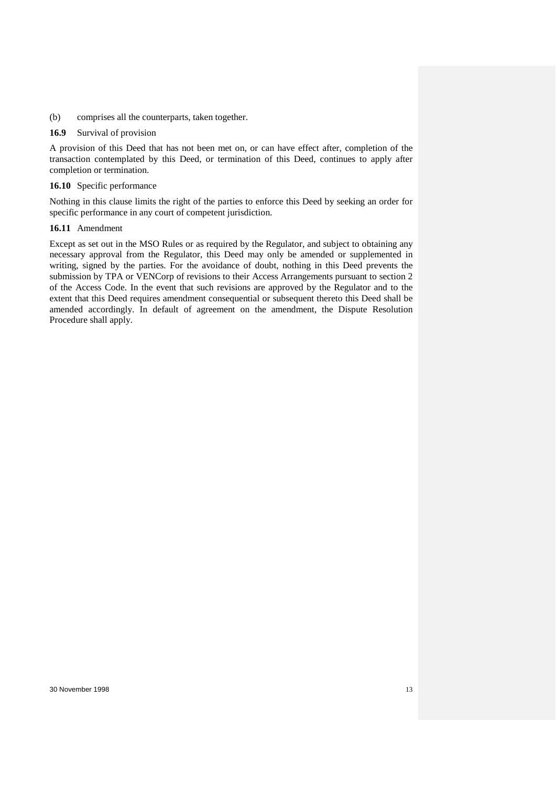(b) comprises all the counterparts, taken together.

### **16.9** Survival of provision

A provision of this Deed that has not been met on, or can have effect after, completion of the transaction contemplated by this Deed, or termination of this Deed, continues to apply after completion or termination.

### **16.10** Specific performance

Nothing in this clause limits the right of the parties to enforce this Deed by seeking an order for specific performance in any court of competent jurisdiction.

# **16.11** Amendment

Except as set out in the MSO Rules or as required by the Regulator, and subject to obtaining any necessary approval from the Regulator, this Deed may only be amended or supplemented in writing, signed by the parties. For the avoidance of doubt, nothing in this Deed prevents the submission by TPA or VENCorp of revisions to their Access Arrangements pursuant to section 2 of the Access Code. In the event that such revisions are approved by the Regulator and to the extent that this Deed requires amendment consequential or subsequent thereto this Deed shall be amended accordingly. In default of agreement on the amendment, the Dispute Resolution Procedure shall apply.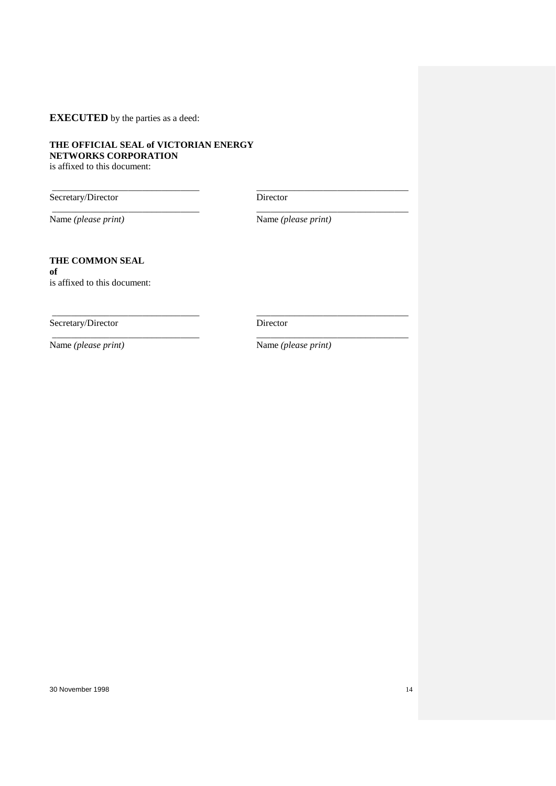**EXECUTED** by the parties as a deed:

# **THE OFFICIAL SEAL of VICTORIAN ENERGY NETWORKS CORPORATION**

is affixed to this document:

Secretary/Director Director

Name *(please print)* Name *(please print)*

\_\_\_\_\_\_\_\_\_\_\_\_\_\_\_\_\_\_\_\_\_\_\_\_\_\_\_\_\_\_\_ \_\_\_\_\_\_\_\_\_\_\_\_\_\_\_\_\_\_\_\_\_\_\_\_\_\_\_\_\_\_\_\_

\_\_\_\_\_\_\_\_\_\_\_\_\_\_\_\_\_\_\_\_\_\_\_\_\_\_\_\_\_\_\_ \_\_\_\_\_\_\_\_\_\_\_\_\_\_\_\_\_\_\_\_\_\_\_\_\_\_\_\_\_\_\_\_

\_\_\_\_\_\_\_\_\_\_\_\_\_\_\_\_\_\_\_\_\_\_\_\_\_\_\_\_\_\_\_ \_\_\_\_\_\_\_\_\_\_\_\_\_\_\_\_\_\_\_\_\_\_\_\_\_\_\_\_\_\_\_\_

\_\_\_\_\_\_\_\_\_\_\_\_\_\_\_\_\_\_\_\_\_\_\_\_\_\_\_\_\_\_\_ \_\_\_\_\_\_\_\_\_\_\_\_\_\_\_\_\_\_\_\_\_\_\_\_\_\_\_\_\_\_\_\_

# **THE COMMON SEAL of**

is affixed to this document:

Secretary/Director Director

Name *(please print)* Name *(please print)*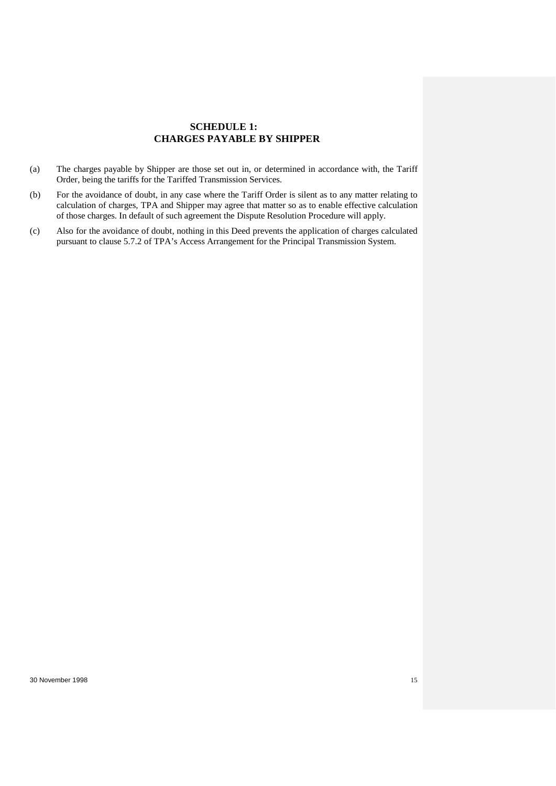# **SCHEDULE 1: CHARGES PAYABLE BY SHIPPER**

- (a) The charges payable by Shipper are those set out in, or determined in accordance with, the Tariff Order, being the tariffs for the Tariffed Transmission Services.
- (b) For the avoidance of doubt, in any case where the Tariff Order is silent as to any matter relating to calculation of charges, TPA and Shipper may agree that matter so as to enable effective calculation of those charges. In default of such agreement the Dispute Resolution Procedure will apply.
- (c) Also for the avoidance of doubt, nothing in this Deed prevents the application of charges calculated pursuant to clause 5.7.2 of TPA's Access Arrangement for the Principal Transmission System.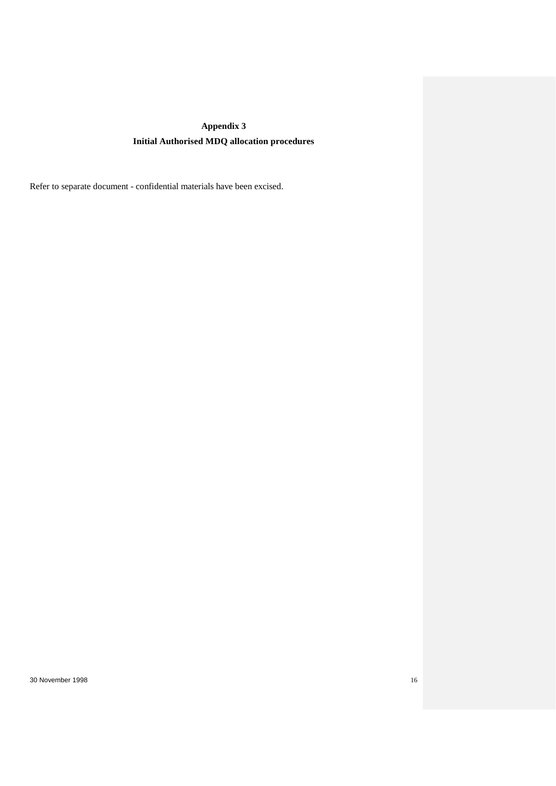# **Appendix 3 Initial Authorised MDQ allocation procedures**

Refer to separate document - confidential materials have been excised.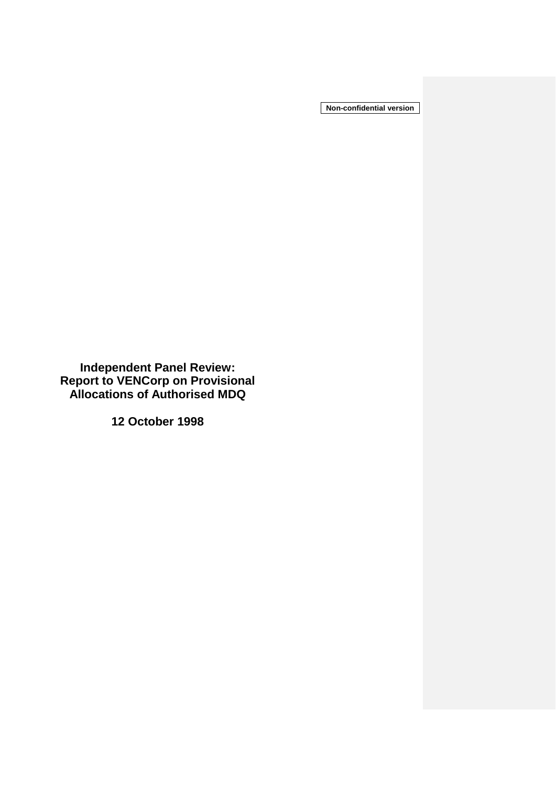**Non-confidential version**

**Independent Panel Review: Report to VENCorp on Provisional Allocations of Authorised MDQ**

**12 October 1998**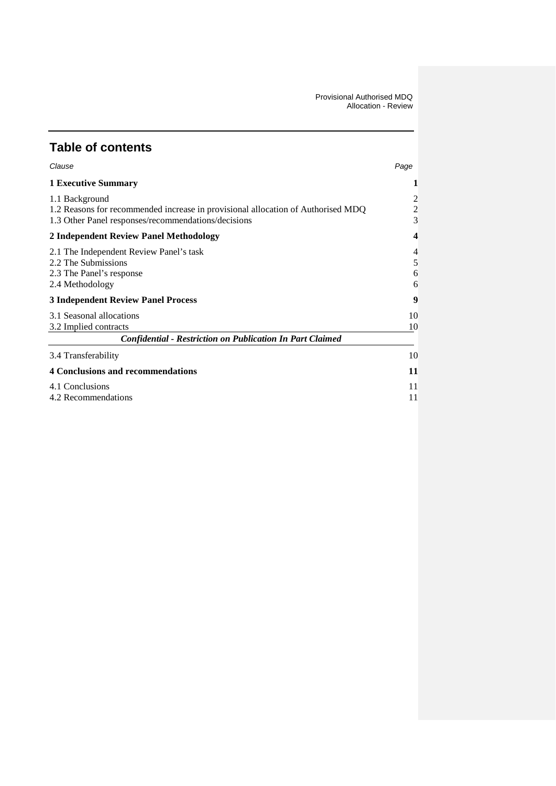# **Table of contents**

| Clause                                                                                                                                                    | Page                                  |
|-----------------------------------------------------------------------------------------------------------------------------------------------------------|---------------------------------------|
| <b>1 Executive Summary</b>                                                                                                                                |                                       |
| 1.1 Background<br>1.2 Reasons for recommended increase in provisional allocation of Authorised MDQ<br>1.3 Other Panel responses/recommendations/decisions | $\overline{c}$<br>$\overline{c}$<br>3 |
| 2 Independent Review Panel Methodology                                                                                                                    |                                       |
| 2.1 The Independent Review Panel's task<br>2.2 The Submissions<br>2.3 The Panel's response<br>2.4 Methodology                                             | 4<br>5<br>6<br>6                      |
| <b>3 Independent Review Panel Process</b>                                                                                                                 | 9                                     |
| 3.1 Seasonal allocations<br>3.2 Implied contracts<br><b>Confidential - Restriction on Publication In Part Claimed</b>                                     | 10<br>10                              |
| 3.4 Transferability                                                                                                                                       | 10                                    |
| <b>4 Conclusions and recommendations</b>                                                                                                                  | 11                                    |
| 4.1 Conclusions<br>4.2 Recommendations                                                                                                                    | 11<br>11                              |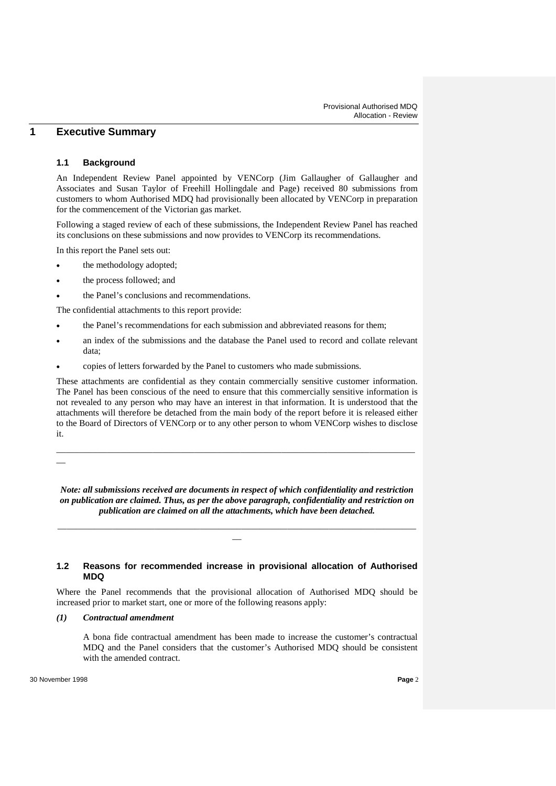# **1 Executive Summary**

### **1.1 Background**

An Independent Review Panel appointed by VENCorp (Jim Gallaugher of Gallaugher and Associates and Susan Taylor of Freehill Hollingdale and Page) received 80 submissions from customers to whom Authorised MDQ had provisionally been allocated by VENCorp in preparation for the commencement of the Victorian gas market.

Following a staged review of each of these submissions, the Independent Review Panel has reached its conclusions on these submissions and now provides to VENCorp its recommendations.

In this report the Panel sets out:

- the methodology adopted;
- the process followed; and
- the Panel's conclusions and recommendations.

The confidential attachments to this report provide:

- the Panel's recommendations for each submission and abbreviated reasons for them;
- an index of the submissions and the database the Panel used to record and collate relevant data;
- copies of letters forwarded by the Panel to customers who made submissions.

These attachments are confidential as they contain commercially sensitive customer information. The Panel has been conscious of the need to ensure that this commercially sensitive information is not revealed to any person who may have an interest in that information. It is understood that the attachments will therefore be detached from the main body of the report before it is released either to the Board of Directors of VENCorp or to any other person to whom VENCorp wishes to disclose it.

\_\_\_\_\_\_\_\_\_\_\_\_\_\_\_\_\_\_\_\_\_\_\_\_\_\_\_\_\_\_\_\_\_\_\_\_\_\_\_\_\_\_\_\_\_\_\_\_\_\_\_\_\_\_\_\_\_\_\_\_\_\_\_\_\_\_\_\_\_\_\_\_\_\_\_\_\_\_

 $\overline{\phantom{a}}$ 

*Note: all submissions received are documents in respect of which confidentiality and restriction on publication are claimed. Thus, as per the above paragraph, confidentiality and restriction on publication are claimed on all the attachments, which have been detached.*

\_\_\_\_\_\_\_\_\_\_\_\_\_\_\_\_\_\_\_\_\_\_\_\_\_\_\_\_\_\_\_\_\_\_\_\_\_\_\_\_\_\_\_\_\_\_\_\_\_\_\_\_\_\_\_\_\_\_\_\_\_\_\_\_\_\_\_\_\_\_\_\_\_\_\_\_\_\_  $\overline{\phantom{0}}$ 

# **1.2 Reasons for recommended increase in provisional allocation of Authorised MDQ**

Where the Panel recommends that the provisional allocation of Authorised MDQ should be increased prior to market start, one or more of the following reasons apply:

*(1) Contractual amendment*

A bona fide contractual amendment has been made to increase the customer's contractual MDQ and the Panel considers that the customer's Authorised MDQ should be consistent with the amended contract.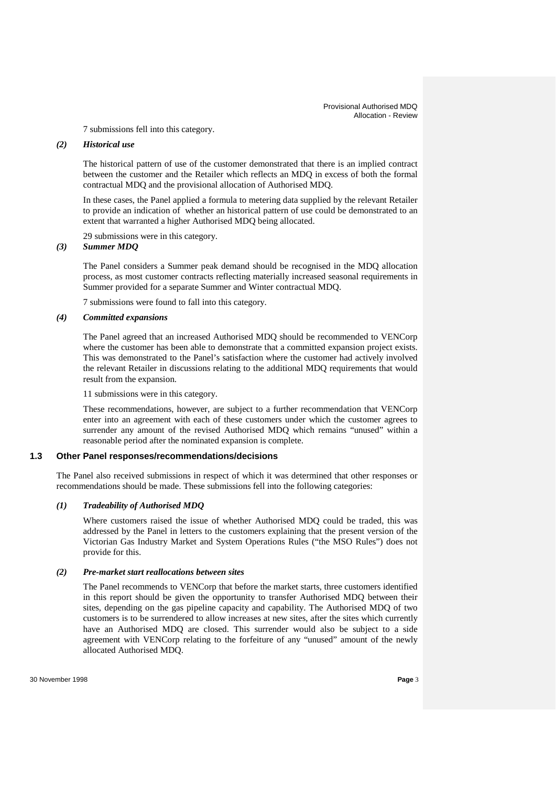7 submissions fell into this category.

### *(2) Historical use*

The historical pattern of use of the customer demonstrated that there is an implied contract between the customer and the Retailer which reflects an MDQ in excess of both the formal contractual MDQ and the provisional allocation of Authorised MDQ.

In these cases, the Panel applied a formula to metering data supplied by the relevant Retailer to provide an indication of whether an historical pattern of use could be demonstrated to an extent that warranted a higher Authorised MDQ being allocated.

29 submissions were in this category.

# *(3) Summer MDQ*

The Panel considers a Summer peak demand should be recognised in the MDQ allocation process, as most customer contracts reflecting materially increased seasonal requirements in Summer provided for a separate Summer and Winter contractual MDQ.

7 submissions were found to fall into this category.

### *(4) Committed expansions*

The Panel agreed that an increased Authorised MDQ should be recommended to VENCorp where the customer has been able to demonstrate that a committed expansion project exists. This was demonstrated to the Panel's satisfaction where the customer had actively involved the relevant Retailer in discussions relating to the additional MDQ requirements that would result from the expansion.

11 submissions were in this category.

These recommendations, however, are subject to a further recommendation that VENCorp enter into an agreement with each of these customers under which the customer agrees to surrender any amount of the revised Authorised MDQ which remains "unused" within a reasonable period after the nominated expansion is complete.

### **1.3 Other Panel responses/recommendations/decisions**

The Panel also received submissions in respect of which it was determined that other responses or recommendations should be made. These submissions fell into the following categories:

# *(1) Tradeability of Authorised MDQ*

Where customers raised the issue of whether Authorised MDQ could be traded, this was addressed by the Panel in letters to the customers explaining that the present version of the Victorian Gas Industry Market and System Operations Rules ("the MSO Rules") does not provide for this.

### *(2) Pre-market start reallocations between sites*

The Panel recommends to VENCorp that before the market starts, three customers identified in this report should be given the opportunity to transfer Authorised MDQ between their sites, depending on the gas pipeline capacity and capability. The Authorised MDQ of two customers is to be surrendered to allow increases at new sites, after the sites which currently have an Authorised MDQ are closed. This surrender would also be subject to a side agreement with VENCorp relating to the forfeiture of any "unused" amount of the newly allocated Authorised MDQ.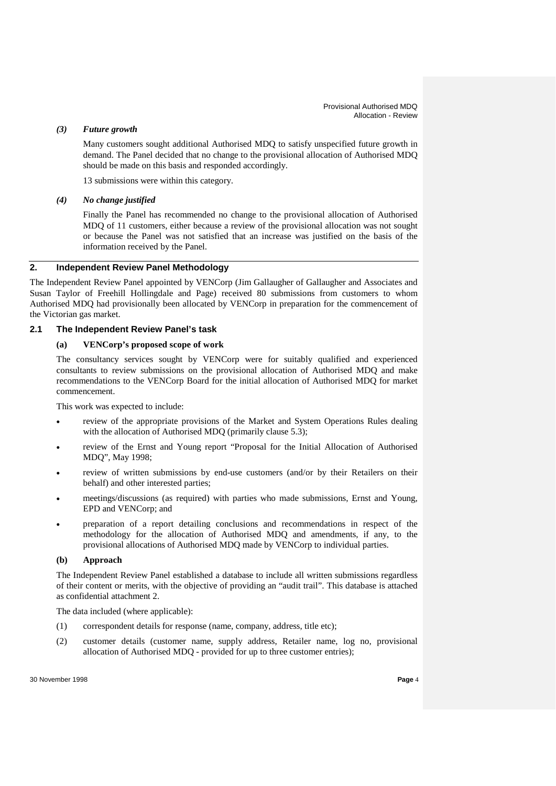# *(3) Future growth*

Many customers sought additional Authorised MDQ to satisfy unspecified future growth in demand. The Panel decided that no change to the provisional allocation of Authorised MDQ should be made on this basis and responded accordingly.

13 submissions were within this category.

### *(4) No change justified*

Finally the Panel has recommended no change to the provisional allocation of Authorised MDQ of 11 customers, either because a review of the provisional allocation was not sought or because the Panel was not satisfied that an increase was justified on the basis of the information received by the Panel.

# **2. Independent Review Panel Methodology**

The Independent Review Panel appointed by VENCorp (Jim Gallaugher of Gallaugher and Associates and Susan Taylor of Freehill Hollingdale and Page) received 80 submissions from customers to whom Authorised MDQ had provisionally been allocated by VENCorp in preparation for the commencement of the Victorian gas market.

### **2.1 The Independent Review Panel's task**

### **(a) VENCorp's proposed scope of work**

The consultancy services sought by VENCorp were for suitably qualified and experienced consultants to review submissions on the provisional allocation of Authorised MDQ and make recommendations to the VENCorp Board for the initial allocation of Authorised MDQ for market commencement.

This work was expected to include:

- review of the appropriate provisions of the Market and System Operations Rules dealing with the allocation of Authorised MDQ (primarily clause 5.3);
- review of the Ernst and Young report "Proposal for the Initial Allocation of Authorised MDQ", May 1998;
- review of written submissions by end-use customers (and/or by their Retailers on their behalf) and other interested parties;
- meetings/discussions (as required) with parties who made submissions, Ernst and Young, EPD and VENCorp; and
- preparation of a report detailing conclusions and recommendations in respect of the methodology for the allocation of Authorised MDQ and amendments, if any, to the provisional allocations of Authorised MDQ made by VENCorp to individual parties.

### **(b) Approach**

The Independent Review Panel established a database to include all written submissions regardless of their content or merits, with the objective of providing an "audit trail". This database is attached as confidential attachment 2.

The data included (where applicable):

- (1) correspondent details for response (name, company, address, title etc);
- (2) customer details (customer name, supply address, Retailer name, log no, provisional allocation of Authorised MDQ - provided for up to three customer entries);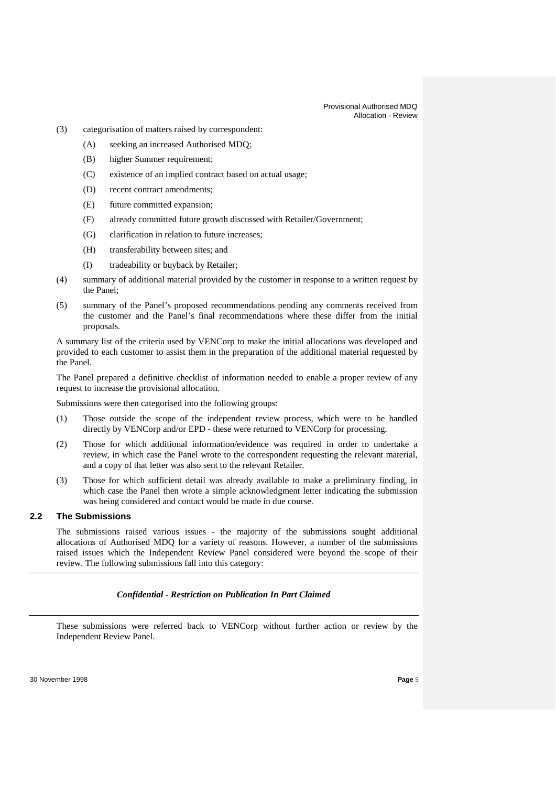#### Provisional Authorised MDQ Allocation - Review

- (3) categorisation of matters raised by correspondent:
	- (A) seeking an increased Authorised MDQ;
	- (B) higher Summer requirement;
	- (C) existence of an implied contract based on actual usage;
	- (D) recent contract amendments;
	- (E) future committed expansion;
	- (F) already committed future growth discussed with Retailer/Government;
	- (G) clarification in relation to future increases;
	- (H) transferability between sites; and
	- (I) tradeability or buyback by Retailer;
- (4) summary of additional material provided by the customer in response to a written request by the Panel;
- (5) summary of the Panel's proposed recommendations pending any comments received from the customer and the Panel's final recommendations where these differ from the initial proposals.

A summary list of the criteria used by VENCorp to make the initial allocations was developed and provided to each customer to assist them in the preparation of the additional material requested by the Panel.

The Panel prepared a definitive checklist of information needed to enable a proper review of any request to increase the provisional allocation.

Submissions were then categorised into the following groups:

- (1) Those outside the scope of the independent review process, which were to be handled directly by VENCorp and/or EPD - these were returned to VENCorp for processing.
- (2) Those for which additional information/evidence was required in order to undertake a review, in which case the Panel wrote to the correspondent requesting the relevant material, and a copy of that letter was also sent to the relevant Retailer.
- (3) Those for which sufficient detail was already available to make a preliminary finding, in which case the Panel then wrote a simple acknowledgment letter indicating the submission was being considered and contact would be made in due course.

# **2.2 The Submissions**

The submissions raised various issues - the majority of the submissions sought additional allocations of Authorised MDQ for a variety of reasons. However, a number of the submissions raised issues which the Independent Review Panel considered were beyond the scope of their review. The following submissions fall into this category:

### *Confidential - Restriction on Publication In Part Claimed*

These submissions were referred back to VENCorp without further action or review by the Independent Review Panel.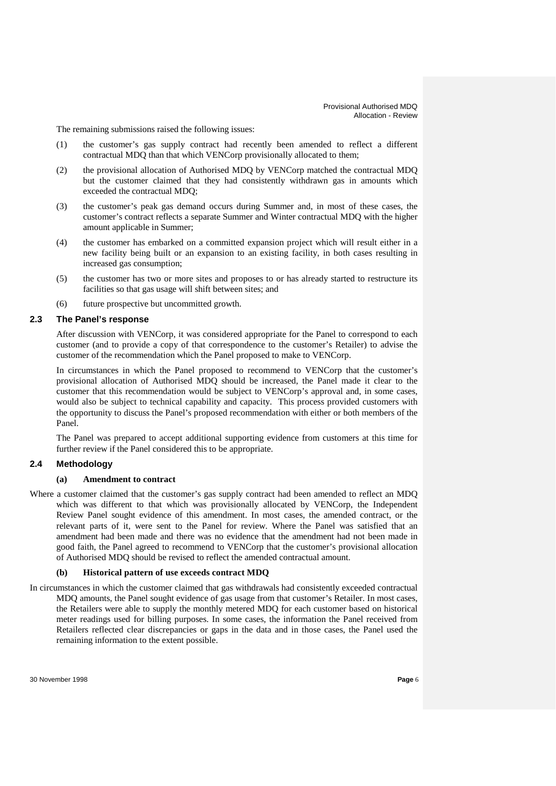The remaining submissions raised the following issues:

- (1) the customer's gas supply contract had recently been amended to reflect a different contractual MDQ than that which VENCorp provisionally allocated to them;
- (2) the provisional allocation of Authorised MDQ by VENCorp matched the contractual MDQ but the customer claimed that they had consistently withdrawn gas in amounts which exceeded the contractual MDQ;
- (3) the customer's peak gas demand occurs during Summer and, in most of these cases, the customer's contract reflects a separate Summer and Winter contractual MDQ with the higher amount applicable in Summer;
- (4) the customer has embarked on a committed expansion project which will result either in a new facility being built or an expansion to an existing facility, in both cases resulting in increased gas consumption;
- (5) the customer has two or more sites and proposes to or has already started to restructure its facilities so that gas usage will shift between sites; and
- (6) future prospective but uncommitted growth.

### **2.3 The Panel's response**

After discussion with VENCorp, it was considered appropriate for the Panel to correspond to each customer (and to provide a copy of that correspondence to the customer's Retailer) to advise the customer of the recommendation which the Panel proposed to make to VENCorp.

In circumstances in which the Panel proposed to recommend to VENCorp that the customer's provisional allocation of Authorised MDQ should be increased, the Panel made it clear to the customer that this recommendation would be subject to VENCorp's approval and, in some cases, would also be subject to technical capability and capacity. This process provided customers with the opportunity to discuss the Panel's proposed recommendation with either or both members of the Panel.

The Panel was prepared to accept additional supporting evidence from customers at this time for further review if the Panel considered this to be appropriate.

# **2.4 Methodology**

#### **(a) Amendment to contract**

Where a customer claimed that the customer's gas supply contract had been amended to reflect an MDQ which was different to that which was provisionally allocated by VENCorp, the Independent Review Panel sought evidence of this amendment. In most cases, the amended contract, or the relevant parts of it, were sent to the Panel for review. Where the Panel was satisfied that an amendment had been made and there was no evidence that the amendment had not been made in good faith, the Panel agreed to recommend to VENCorp that the customer's provisional allocation of Authorised MDQ should be revised to reflect the amended contractual amount.

#### **(b) Historical pattern of use exceeds contract MDQ**

In circumstances in which the customer claimed that gas withdrawals had consistently exceeded contractual MDQ amounts, the Panel sought evidence of gas usage from that customer's Retailer. In most cases, the Retailers were able to supply the monthly metered MDQ for each customer based on historical meter readings used for billing purposes. In some cases, the information the Panel received from Retailers reflected clear discrepancies or gaps in the data and in those cases, the Panel used the remaining information to the extent possible.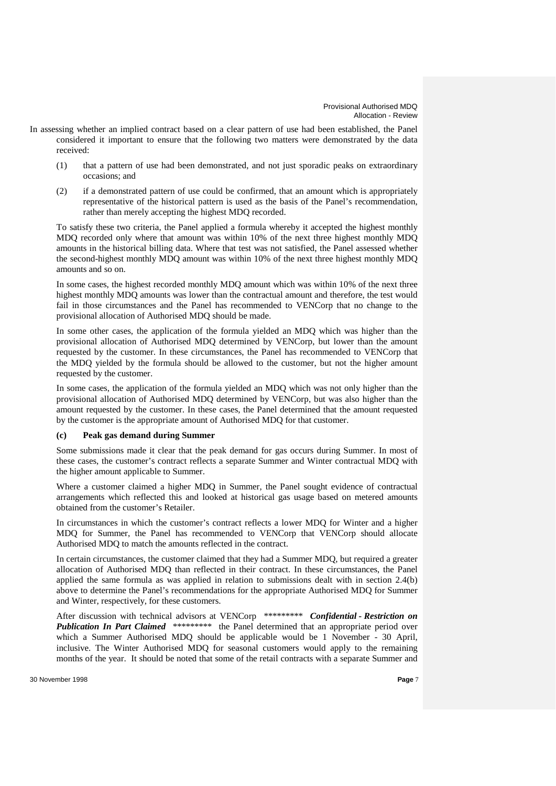- In assessing whether an implied contract based on a clear pattern of use had been established, the Panel considered it important to ensure that the following two matters were demonstrated by the data received:
	- (1) that a pattern of use had been demonstrated, and not just sporadic peaks on extraordinary occasions; and
	- (2) if a demonstrated pattern of use could be confirmed, that an amount which is appropriately representative of the historical pattern is used as the basis of the Panel's recommendation, rather than merely accepting the highest MDQ recorded.

To satisfy these two criteria, the Panel applied a formula whereby it accepted the highest monthly MDQ recorded only where that amount was within 10% of the next three highest monthly MDQ amounts in the historical billing data. Where that test was not satisfied, the Panel assessed whether the second-highest monthly MDQ amount was within 10% of the next three highest monthly MDQ amounts and so on.

In some cases, the highest recorded monthly MDQ amount which was within 10% of the next three highest monthly MDQ amounts was lower than the contractual amount and therefore, the test would fail in those circumstances and the Panel has recommended to VENCorp that no change to the provisional allocation of Authorised MDQ should be made.

In some other cases, the application of the formula yielded an MDQ which was higher than the provisional allocation of Authorised MDQ determined by VENCorp, but lower than the amount requested by the customer. In these circumstances, the Panel has recommended to VENCorp that the MDQ yielded by the formula should be allowed to the customer, but not the higher amount requested by the customer.

In some cases, the application of the formula yielded an MDQ which was not only higher than the provisional allocation of Authorised MDQ determined by VENCorp, but was also higher than the amount requested by the customer. In these cases, the Panel determined that the amount requested by the customer is the appropriate amount of Authorised MDQ for that customer.

### **(c) Peak gas demand during Summer**

Some submissions made it clear that the peak demand for gas occurs during Summer. In most of these cases, the customer's contract reflects a separate Summer and Winter contractual MDQ with the higher amount applicable to Summer.

Where a customer claimed a higher MDQ in Summer, the Panel sought evidence of contractual arrangements which reflected this and looked at historical gas usage based on metered amounts obtained from the customer's Retailer.

In circumstances in which the customer's contract reflects a lower MDQ for Winter and a higher MDQ for Summer, the Panel has recommended to VENCorp that VENCorp should allocate Authorised MDQ to match the amounts reflected in the contract.

In certain circumstances, the customer claimed that they had a Summer MDQ, but required a greater allocation of Authorised MDQ than reflected in their contract. In these circumstances, the Panel applied the same formula as was applied in relation to submissions dealt with in section 2.4(b) above to determine the Panel's recommendations for the appropriate Authorised MDQ for Summer and Winter, respectively, for these customers.

After discussion with technical advisors at VENCorp \*\*\*\*\*\*\*\*\* *Confidential - Restriction on Publication In Part Claimed* \*\*\*\*\*\*\*\*\* the Panel determined that an appropriate period over which a Summer Authorised MDQ should be applicable would be 1 November - 30 April, inclusive. The Winter Authorised MDQ for seasonal customers would apply to the remaining months of the year. It should be noted that some of the retail contracts with a separate Summer and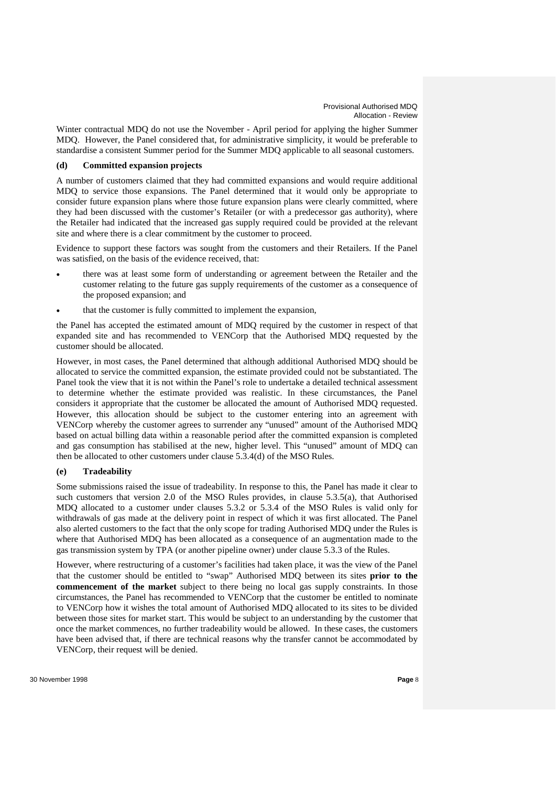Winter contractual MDQ do not use the November - April period for applying the higher Summer MDQ. However, the Panel considered that, for administrative simplicity, it would be preferable to standardise a consistent Summer period for the Summer MDQ applicable to all seasonal customers.

### **(d) Committed expansion projects**

A number of customers claimed that they had committed expansions and would require additional MDQ to service those expansions. The Panel determined that it would only be appropriate to consider future expansion plans where those future expansion plans were clearly committed, where they had been discussed with the customer's Retailer (or with a predecessor gas authority), where the Retailer had indicated that the increased gas supply required could be provided at the relevant site and where there is a clear commitment by the customer to proceed.

Evidence to support these factors was sought from the customers and their Retailers. If the Panel was satisfied, on the basis of the evidence received, that:

- there was at least some form of understanding or agreement between the Retailer and the customer relating to the future gas supply requirements of the customer as a consequence of the proposed expansion; and
- that the customer is fully committed to implement the expansion,

the Panel has accepted the estimated amount of MDQ required by the customer in respect of that expanded site and has recommended to VENCorp that the Authorised MDQ requested by the customer should be allocated.

However, in most cases, the Panel determined that although additional Authorised MDQ should be allocated to service the committed expansion, the estimate provided could not be substantiated. The Panel took the view that it is not within the Panel's role to undertake a detailed technical assessment to determine whether the estimate provided was realistic. In these circumstances, the Panel considers it appropriate that the customer be allocated the amount of Authorised MDQ requested. However, this allocation should be subject to the customer entering into an agreement with VENCorp whereby the customer agrees to surrender any "unused" amount of the Authorised MDQ based on actual billing data within a reasonable period after the committed expansion is completed and gas consumption has stabilised at the new, higher level. This "unused" amount of MDQ can then be allocated to other customers under clause 5.3.4(d) of the MSO Rules.

### **(e) Tradeability**

Some submissions raised the issue of tradeability. In response to this, the Panel has made it clear to such customers that version 2.0 of the MSO Rules provides, in clause 5.3.5(a), that Authorised MDQ allocated to a customer under clauses 5.3.2 or 5.3.4 of the MSO Rules is valid only for withdrawals of gas made at the delivery point in respect of which it was first allocated. The Panel also alerted customers to the fact that the only scope for trading Authorised MDQ under the Rules is where that Authorised MDQ has been allocated as a consequence of an augmentation made to the gas transmission system by TPA (or another pipeline owner) under clause 5.3.3 of the Rules.

However, where restructuring of a customer's facilities had taken place, it was the view of the Panel that the customer should be entitled to "swap" Authorised MDQ between its sites **prior to the commencement of the market** subject to there being no local gas supply constraints. In those circumstances, the Panel has recommended to VENCorp that the customer be entitled to nominate to VENCorp how it wishes the total amount of Authorised MDQ allocated to its sites to be divided between those sites for market start. This would be subject to an understanding by the customer that once the market commences, no further tradeability would be allowed. In these cases, the customers have been advised that, if there are technical reasons why the transfer cannot be accommodated by VENCorp, their request will be denied.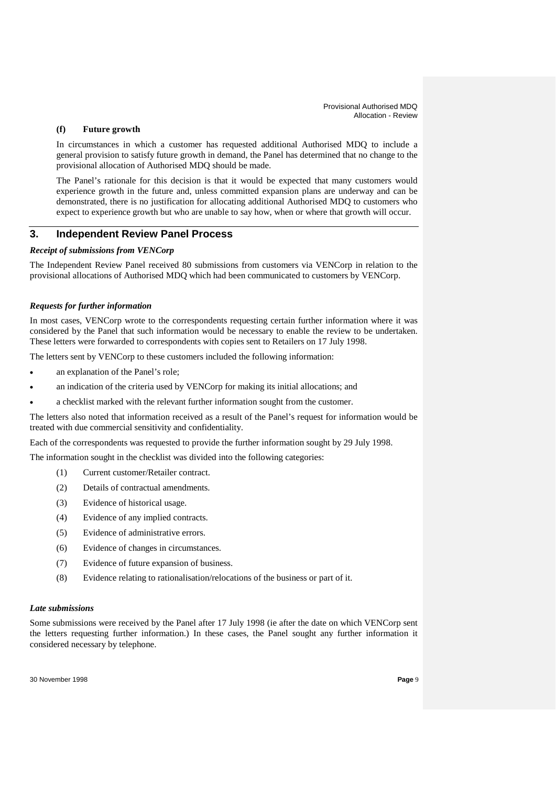# **(f) Future growth**

In circumstances in which a customer has requested additional Authorised MDQ to include a general provision to satisfy future growth in demand, the Panel has determined that no change to the provisional allocation of Authorised MDQ should be made.

The Panel's rationale for this decision is that it would be expected that many customers would experience growth in the future and, unless committed expansion plans are underway and can be demonstrated, there is no justification for allocating additional Authorised MDQ to customers who expect to experience growth but who are unable to say how, when or where that growth will occur.

# **3. Independent Review Panel Process**

# *Receipt of submissions from VENCorp*

The Independent Review Panel received 80 submissions from customers via VENCorp in relation to the provisional allocations of Authorised MDQ which had been communicated to customers by VENCorp.

# *Requests for further information*

In most cases, VENCorp wrote to the correspondents requesting certain further information where it was considered by the Panel that such information would be necessary to enable the review to be undertaken. These letters were forwarded to correspondents with copies sent to Retailers on 17 July 1998.

The letters sent by VENCorp to these customers included the following information:

- an explanation of the Panel's role;
- an indication of the criteria used by VENCorp for making its initial allocations; and
- a checklist marked with the relevant further information sought from the customer.

The letters also noted that information received as a result of the Panel's request for information would be treated with due commercial sensitivity and confidentiality.

Each of the correspondents was requested to provide the further information sought by 29 July 1998.

The information sought in the checklist was divided into the following categories:

- (1) Current customer/Retailer contract.
- (2) Details of contractual amendments.
- (3) Evidence of historical usage.
- (4) Evidence of any implied contracts.
- (5) Evidence of administrative errors.
- (6) Evidence of changes in circumstances.
- (7) Evidence of future expansion of business.
- (8) Evidence relating to rationalisation/relocations of the business or part of it.

### *Late submissions*

Some submissions were received by the Panel after 17 July 1998 (ie after the date on which VENCorp sent the letters requesting further information.) In these cases, the Panel sought any further information it considered necessary by telephone.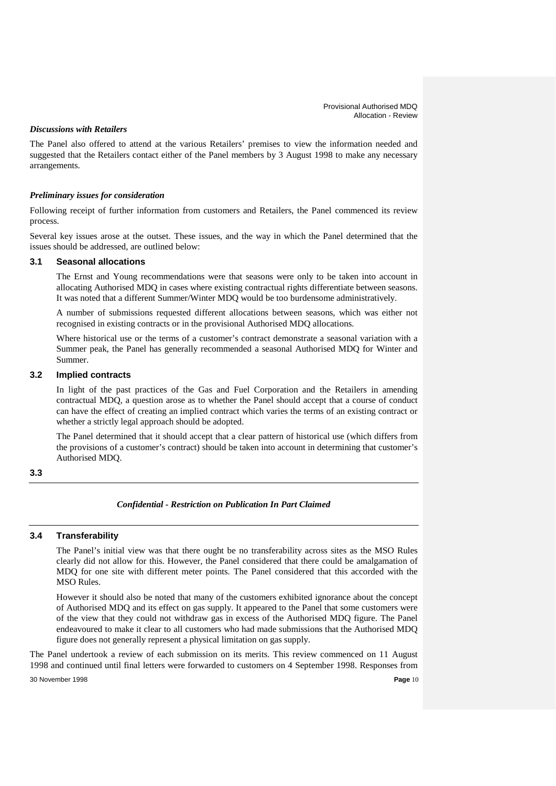### *Discussions with Retailers*

The Panel also offered to attend at the various Retailers' premises to view the information needed and suggested that the Retailers contact either of the Panel members by 3 August 1998 to make any necessary arrangements.

# *Preliminary issues for consideration*

Following receipt of further information from customers and Retailers, the Panel commenced its review process.

Several key issues arose at the outset. These issues, and the way in which the Panel determined that the issues should be addressed, are outlined below:

### **3.1 Seasonal allocations**

The Ernst and Young recommendations were that seasons were only to be taken into account in allocating Authorised MDQ in cases where existing contractual rights differentiate between seasons. It was noted that a different Summer/Winter MDQ would be too burdensome administratively.

A number of submissions requested different allocations between seasons, which was either not recognised in existing contracts or in the provisional Authorised MDQ allocations.

Where historical use or the terms of a customer's contract demonstrate a seasonal variation with a Summer peak, the Panel has generally recommended a seasonal Authorised MDQ for Winter and Summer.

### **3.2 Implied contracts**

In light of the past practices of the Gas and Fuel Corporation and the Retailers in amending contractual MDQ, a question arose as to whether the Panel should accept that a course of conduct can have the effect of creating an implied contract which varies the terms of an existing contract or whether a strictly legal approach should be adopted.

The Panel determined that it should accept that a clear pattern of historical use (which differs from the provisions of a customer's contract) should be taken into account in determining that customer's Authorised MDQ.

### **3.3**

### *Confidential - Restriction on Publication In Part Claimed*

#### **3.4 Transferability**

The Panel's initial view was that there ought be no transferability across sites as the MSO Rules clearly did not allow for this. However, the Panel considered that there could be amalgamation of MDQ for one site with different meter points. The Panel considered that this accorded with the MSO Rules.

However it should also be noted that many of the customers exhibited ignorance about the concept of Authorised MDQ and its effect on gas supply. It appeared to the Panel that some customers were of the view that they could not withdraw gas in excess of the Authorised MDQ figure. The Panel endeavoured to make it clear to all customers who had made submissions that the Authorised MDQ figure does not generally represent a physical limitation on gas supply.

The Panel undertook a review of each submission on its merits. This review commenced on 11 August 1998 and continued until final letters were forwarded to customers on 4 September 1998. Responses from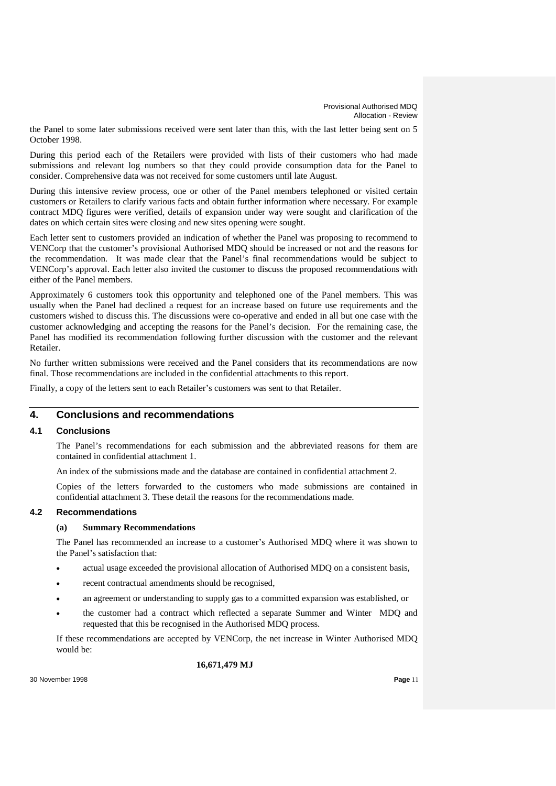the Panel to some later submissions received were sent later than this, with the last letter being sent on 5 October 1998.

During this period each of the Retailers were provided with lists of their customers who had made submissions and relevant log numbers so that they could provide consumption data for the Panel to consider. Comprehensive data was not received for some customers until late August.

During this intensive review process, one or other of the Panel members telephoned or visited certain customers or Retailers to clarify various facts and obtain further information where necessary. For example contract MDQ figures were verified, details of expansion under way were sought and clarification of the dates on which certain sites were closing and new sites opening were sought.

Each letter sent to customers provided an indication of whether the Panel was proposing to recommend to VENCorp that the customer's provisional Authorised MDQ should be increased or not and the reasons for the recommendation. It was made clear that the Panel's final recommendations would be subject to VENCorp's approval. Each letter also invited the customer to discuss the proposed recommendations with either of the Panel members.

Approximately 6 customers took this opportunity and telephoned one of the Panel members. This was usually when the Panel had declined a request for an increase based on future use requirements and the customers wished to discuss this. The discussions were co-operative and ended in all but one case with the customer acknowledging and accepting the reasons for the Panel's decision. For the remaining case, the Panel has modified its recommendation following further discussion with the customer and the relevant Retailer.

No further written submissions were received and the Panel considers that its recommendations are now final. Those recommendations are included in the confidential attachments to this report.

Finally, a copy of the letters sent to each Retailer's customers was sent to that Retailer.

# **4. Conclusions and recommendations**

### **4.1 Conclusions**

The Panel's recommendations for each submission and the abbreviated reasons for them are contained in confidential attachment 1.

An index of the submissions made and the database are contained in confidential attachment 2.

Copies of the letters forwarded to the customers who made submissions are contained in confidential attachment 3. These detail the reasons for the recommendations made.

### **4.2 Recommendations**

### **(a) Summary Recommendations**

The Panel has recommended an increase to a customer's Authorised MDQ where it was shown to the Panel's satisfaction that:

- actual usage exceeded the provisional allocation of Authorised MDQ on a consistent basis,
- recent contractual amendments should be recognised,
- an agreement or understanding to supply gas to a committed expansion was established, or
- the customer had a contract which reflected a separate Summer and Winter MDQ and requested that this be recognised in the Authorised MDQ process.

If these recommendations are accepted by VENCorp, the net increase in Winter Authorised MDQ would be:

**16,671,479 MJ**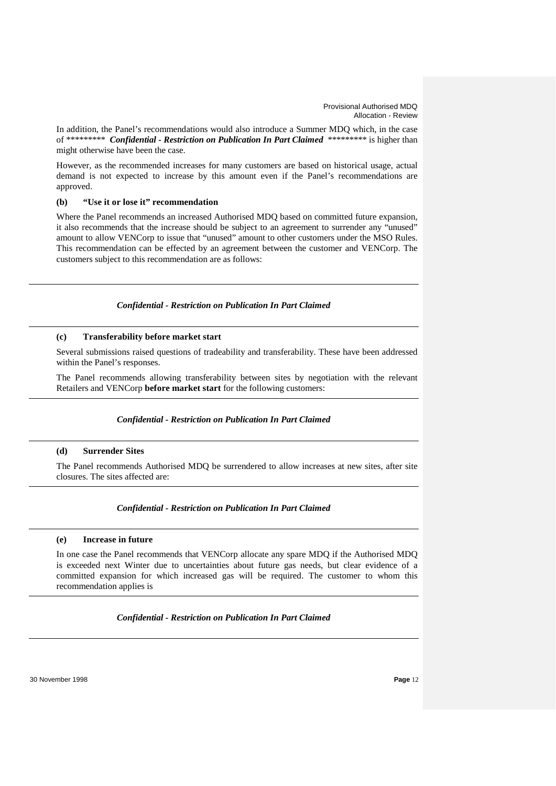In addition, the Panel's recommendations would also introduce a Summer MDQ which, in the case of \*\*\*\*\*\*\*\*\* *Confidential - Restriction on Publication In Part Claimed* \*\*\*\*\*\*\*\*\* is higher than might otherwise have been the case.

However, as the recommended increases for many customers are based on historical usage, actual demand is not expected to increase by this amount even if the Panel's recommendations are approved.

# **(b) "Use it or lose it" recommendation**

Where the Panel recommends an increased Authorised MDQ based on committed future expansion, it also recommends that the increase should be subject to an agreement to surrender any "unused" amount to allow VENCorp to issue that "unused" amount to other customers under the MSO Rules. This recommendation can be effected by an agreement between the customer and VENCorp. The customers subject to this recommendation are as follows:

### *Confidential - Restriction on Publication In Part Claimed*

#### **(c) Transferability before market start**

Several submissions raised questions of tradeability and transferability. These have been addressed within the Panel's responses.

The Panel recommends allowing transferability between sites by negotiation with the relevant Retailers and VENCorp **before market start** for the following customers:

### *Confidential - Restriction on Publication In Part Claimed*

### **(d) Surrender Sites**

The Panel recommends Authorised MDQ be surrendered to allow increases at new sites, after site closures. The sites affected are:

#### *Confidential - Restriction on Publication In Part Claimed*

### **(e) Increase in future**

In one case the Panel recommends that VENCorp allocate any spare MDQ if the Authorised MDQ is exceeded next Winter due to uncertainties about future gas needs, but clear evidence of a committed expansion for which increased gas will be required. The customer to whom this recommendation applies is

### *Confidential - Restriction on Publication In Part Claimed*